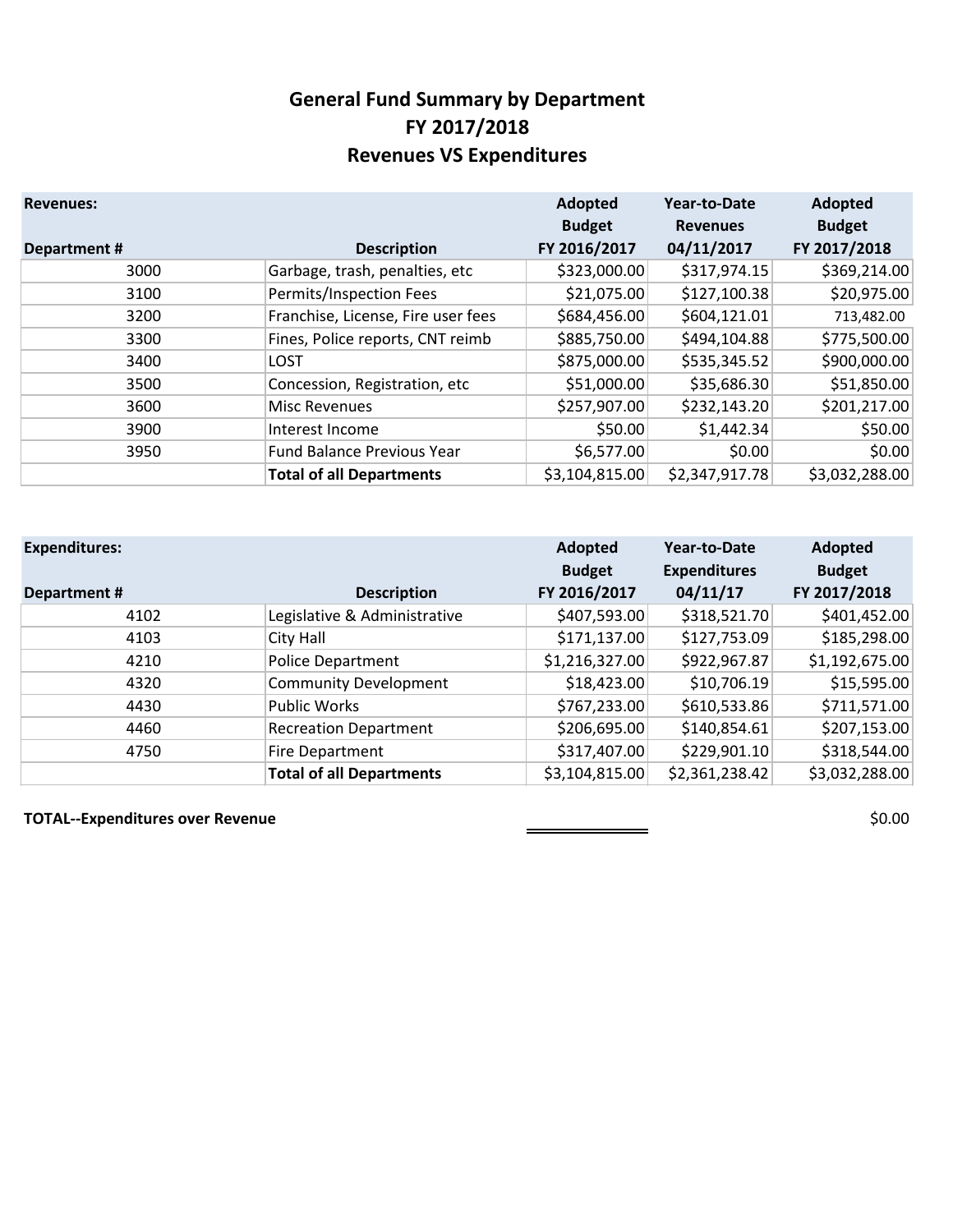### **General Fund Summary by Department FY 2017/2018 Revenues VS Expenditures**

| <b>Revenues:</b>   |                                    | Adopted<br><b>Budget</b> | <b>Year-to-Date</b><br><b>Revenues</b> | Adopted<br><b>Budget</b> |
|--------------------|------------------------------------|--------------------------|----------------------------------------|--------------------------|
| <b>Department#</b> | <b>Description</b>                 | FY 2016/2017             | 04/11/2017                             | FY 2017/2018             |
| 3000               | Garbage, trash, penalties, etc     | \$323,000.00             | \$317,974.15                           | \$369,214.00             |
| 3100               | Permits/Inspection Fees            | \$21,075.00              | \$127,100.38                           | \$20,975.00              |
| 3200               | Franchise, License, Fire user fees | \$684,456.00             | \$604,121.01                           | 713,482.00               |
| 3300               | Fines, Police reports, CNT reimb   | \$885,750.00             | \$494,104.88                           | \$775,500.00             |
| 3400               | <b>LOST</b>                        | \$875,000.00             | \$535,345.52                           | \$900,000.00             |
| 3500               | Concession, Registration, etc      | \$51,000.00              | \$35,686.30                            | \$51,850.00              |
| 3600               | <b>Misc Revenues</b>               | \$257,907.00             | \$232,143.20                           | \$201,217.00             |
| 3900               | Interest Income                    | \$50.00                  | \$1,442.34                             | \$50.00                  |
| 3950               | <b>Fund Balance Previous Year</b>  | \$6,577.00               | \$0.00                                 | \$0.00                   |
|                    | <b>Total of all Departments</b>    | \$3,104,815.00           | \$2,347,917.78                         | \$3,032,288.00           |

| <b>Expenditures:</b> |                                 | Adopted<br><b>Budget</b> | Year-to-Date<br><b>Expenditures</b> | Adopted<br><b>Budget</b> |
|----------------------|---------------------------------|--------------------------|-------------------------------------|--------------------------|
| Department#          | <b>Description</b>              | FY 2016/2017             | 04/11/17                            | FY 2017/2018             |
| 4102                 | Legislative & Administrative    | \$407,593.00             | \$318,521.70                        | \$401,452.00             |
| 4103                 | City Hall                       | \$171,137.00             | \$127,753.09                        | \$185,298.00             |
| 4210                 | <b>Police Department</b>        | \$1,216,327.00           | \$922,967.87                        | \$1,192,675.00           |
| 4320                 | <b>Community Development</b>    | \$18,423.00              | \$10,706.19                         | \$15,595.00              |
| 4430                 | <b>Public Works</b>             | \$767,233.00             | \$610,533.86                        | \$711,571.00             |
| 4460                 | <b>Recreation Department</b>    | \$206,695.00             | \$140,854.61                        | \$207,153.00             |
| 4750                 | Fire Department                 | \$317,407.00             | \$229,901.10                        | \$318,544.00             |
|                      | <b>Total of all Departments</b> | \$3,104,815.00           | \$2,361,238.42                      | \$3,032,288.00           |

**TOTAL--Expenditures over Revenue \$0.00**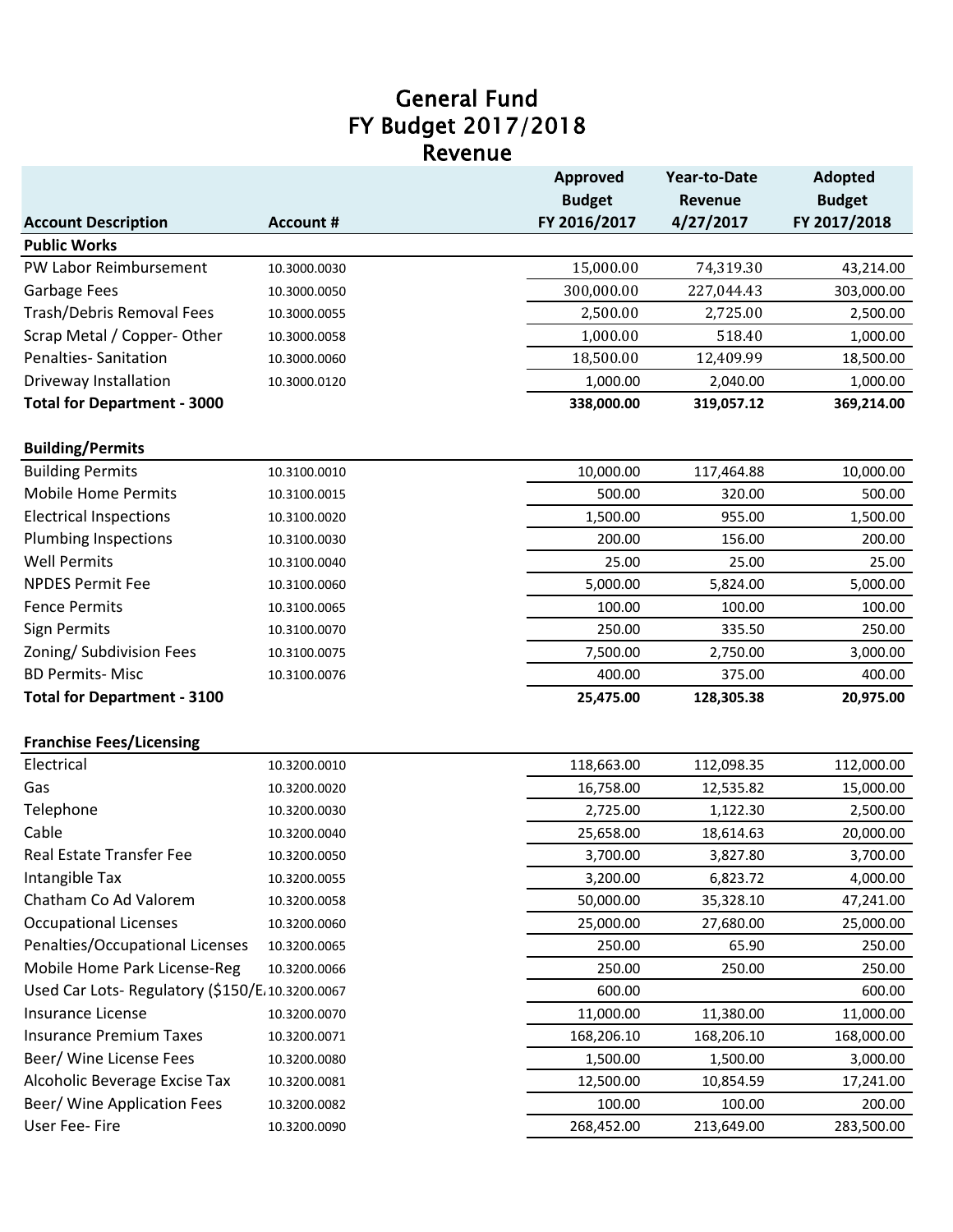### Revenue General Fund FY Budget 2017/2018

|                                                   |                  | Approved                | Year-to-Date   | <b>Adopted</b> |
|---------------------------------------------------|------------------|-------------------------|----------------|----------------|
|                                                   |                  | <b>Budget</b>           | <b>Revenue</b> | <b>Budget</b>  |
| <b>Account Description</b><br><b>Public Works</b> | <b>Account #</b> | FY 2016/2017            | 4/27/2017      | FY 2017/2018   |
| PW Labor Reimbursement                            |                  |                         |                | 43,214.00      |
|                                                   | 10.3000.0030     | 15,000.00<br>300,000.00 | 74,319.30      |                |
| Garbage Fees                                      | 10.3000.0050     |                         | 227,044.43     | 303,000.00     |
| Trash/Debris Removal Fees                         | 10.3000.0055     | 2,500.00                | 2,725.00       | 2,500.00       |
| Scrap Metal / Copper-Other                        | 10.3000.0058     | 1,000.00                | 518.40         | 1,000.00       |
| <b>Penalties-Sanitation</b>                       | 10.3000.0060     | 18,500.00               | 12,409.99      | 18,500.00      |
| Driveway Installation                             | 10.3000.0120     | 1,000.00                | 2,040.00       | 1,000.00       |
| <b>Total for Department - 3000</b>                |                  | 338,000.00              | 319,057.12     | 369,214.00     |
| <b>Building/Permits</b>                           |                  |                         |                |                |
| <b>Building Permits</b>                           | 10.3100.0010     | 10,000.00               | 117,464.88     | 10,000.00      |
| <b>Mobile Home Permits</b>                        | 10.3100.0015     | 500.00                  | 320.00         | 500.00         |
| <b>Electrical Inspections</b>                     | 10.3100.0020     | 1,500.00                | 955.00         | 1,500.00       |
| <b>Plumbing Inspections</b>                       | 10.3100.0030     | 200.00                  | 156.00         | 200.00         |
| <b>Well Permits</b>                               | 10.3100.0040     | 25.00                   | 25.00          | 25.00          |
| <b>NPDES Permit Fee</b>                           | 10.3100.0060     | 5,000.00                | 5,824.00       | 5,000.00       |
| <b>Fence Permits</b>                              | 10.3100.0065     | 100.00                  | 100.00         | 100.00         |
| <b>Sign Permits</b>                               | 10.3100.0070     | 250.00                  | 335.50         | 250.00         |
| Zoning/ Subdivision Fees                          | 10.3100.0075     | 7,500.00                | 2,750.00       | 3,000.00       |
| <b>BD Permits- Misc</b>                           | 10.3100.0076     | 400.00                  | 375.00         | 400.00         |
| <b>Total for Department - 3100</b>                |                  | 25,475.00               | 128,305.38     | 20,975.00      |
| <b>Franchise Fees/Licensing</b>                   |                  |                         |                |                |
| Electrical                                        | 10.3200.0010     | 118,663.00              | 112,098.35     | 112,000.00     |
| Gas                                               | 10.3200.0020     | 16,758.00               | 12,535.82      | 15,000.00      |
| Telephone                                         | 10.3200.0030     | 2,725.00                | 1,122.30       | 2,500.00       |
| Cable                                             | 10.3200.0040     | 25,658.00               | 18,614.63      | 20,000.00      |
| <b>Real Estate Transfer Fee</b>                   | 10.3200.0050     | 3,700.00                | 3,827.80       | 3,700.00       |
| Intangible Tax                                    | 10.3200.0055     | 3,200.00                | 6,823.72       | 4,000.00       |
| Chatham Co Ad Valorem                             | 10.3200.0058     | 50,000.00               | 35,328.10      | 47,241.00      |
| <b>Occupational Licenses</b>                      | 10.3200.0060     | 25,000.00               | 27,680.00      | 25,000.00      |
| Penalties/Occupational Licenses                   | 10.3200.0065     | 250.00                  | 65.90          | 250.00         |
| Mobile Home Park License-Reg                      | 10.3200.0066     | 250.00                  | 250.00         | 250.00         |
| Used Car Lots- Regulatory (\$150/E.10.3200.0067   |                  | 600.00                  |                | 600.00         |
| Insurance License                                 | 10.3200.0070     | 11,000.00               | 11,380.00      | 11,000.00      |
| <b>Insurance Premium Taxes</b>                    | 10.3200.0071     | 168,206.10              | 168,206.10     | 168,000.00     |
| Beer/ Wine License Fees                           | 10.3200.0080     | 1,500.00                | 1,500.00       | 3,000.00       |
| Alcoholic Beverage Excise Tax                     | 10.3200.0081     | 12,500.00               | 10,854.59      | 17,241.00      |
| Beer/ Wine Application Fees                       | 10.3200.0082     | 100.00                  | 100.00         | 200.00         |
| User Fee- Fire                                    | 10.3200.0090     | 268,452.00              | 213,649.00     | 283,500.00     |
|                                                   |                  |                         |                |                |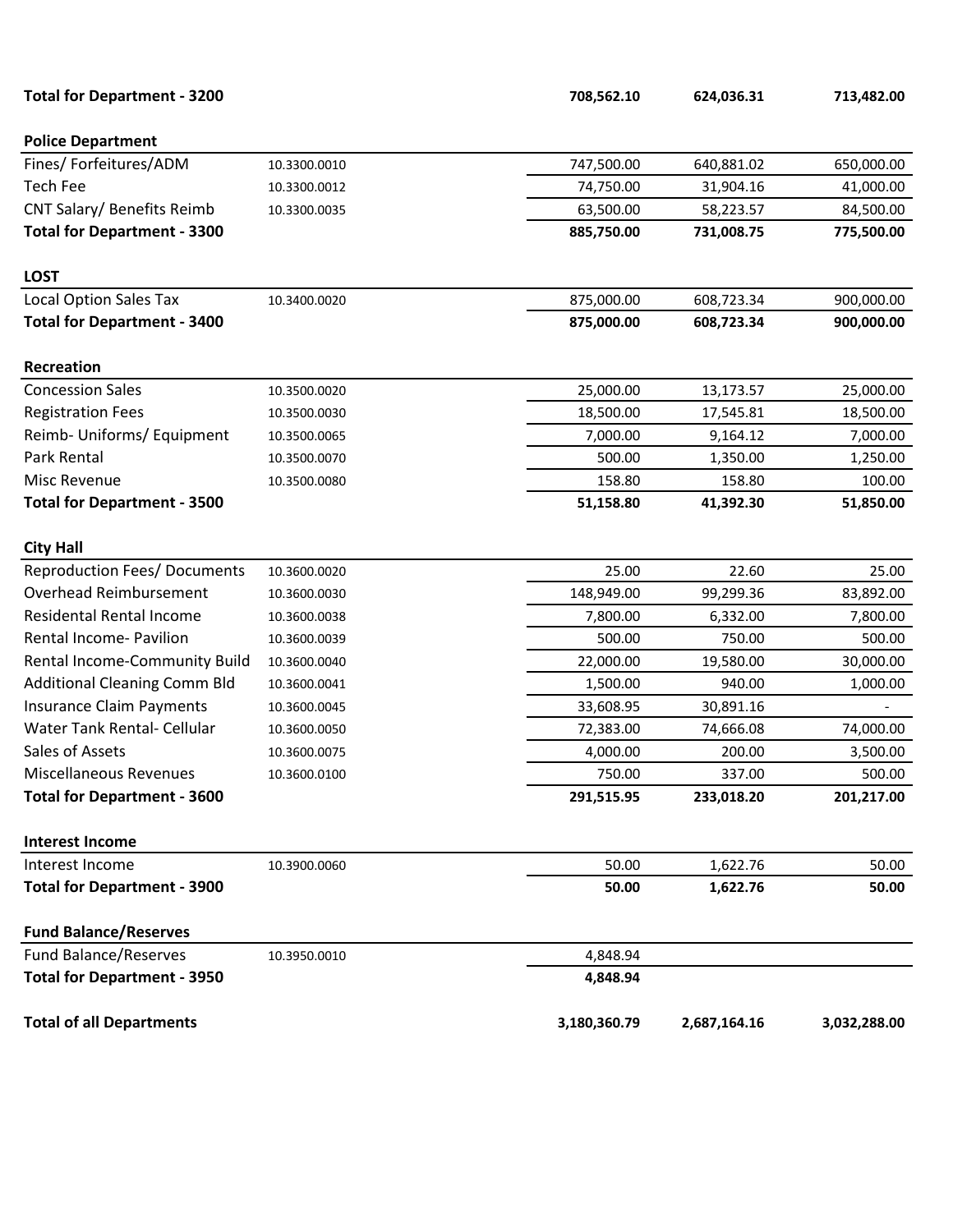| <b>Total for Department - 3200</b>  |              | 708,562.10   | 624,036.31   | 713,482.00   |
|-------------------------------------|--------------|--------------|--------------|--------------|
| <b>Police Department</b>            |              |              |              |              |
| Fines/ Forfeitures/ADM              | 10.3300.0010 | 747,500.00   | 640,881.02   | 650,000.00   |
| <b>Tech Fee</b>                     | 10.3300.0012 | 74,750.00    | 31,904.16    | 41,000.00    |
| CNT Salary/ Benefits Reimb          | 10.3300.0035 | 63,500.00    | 58,223.57    | 84,500.00    |
| <b>Total for Department - 3300</b>  |              | 885,750.00   | 731,008.75   | 775,500.00   |
| <b>LOST</b>                         |              |              |              |              |
| <b>Local Option Sales Tax</b>       | 10.3400.0020 | 875,000.00   | 608,723.34   | 900,000.00   |
| <b>Total for Department - 3400</b>  |              | 875,000.00   | 608,723.34   | 900,000.00   |
| Recreation                          |              |              |              |              |
| <b>Concession Sales</b>             | 10.3500.0020 | 25,000.00    | 13,173.57    | 25,000.00    |
| <b>Registration Fees</b>            | 10.3500.0030 | 18,500.00    | 17,545.81    | 18,500.00    |
| Reimb- Uniforms/ Equipment          | 10.3500.0065 | 7,000.00     | 9,164.12     | 7,000.00     |
| Park Rental                         | 10.3500.0070 | 500.00       | 1,350.00     | 1,250.00     |
| Misc Revenue                        | 10.3500.0080 | 158.80       | 158.80       | 100.00       |
| <b>Total for Department - 3500</b>  |              | 51,158.80    | 41,392.30    | 51,850.00    |
| <b>City Hall</b>                    |              |              |              |              |
| <b>Reproduction Fees/ Documents</b> | 10.3600.0020 | 25.00        | 22.60        | 25.00        |
| Overhead Reimbursement              | 10.3600.0030 | 148,949.00   | 99,299.36    | 83,892.00    |
| <b>Residental Rental Income</b>     | 10.3600.0038 | 7,800.00     | 6,332.00     | 7,800.00     |
| Rental Income- Pavilion             | 10.3600.0039 | 500.00       | 750.00       | 500.00       |
| Rental Income-Community Build       | 10.3600.0040 | 22,000.00    | 19,580.00    | 30,000.00    |
| <b>Additional Cleaning Comm Bld</b> | 10.3600.0041 | 1,500.00     | 940.00       | 1,000.00     |
| <b>Insurance Claim Payments</b>     | 10.3600.0045 | 33,608.95    | 30,891.16    |              |
| Water Tank Rental- Cellular         | 10.3600.0050 | 72,383.00    | 74,666.08    | 74,000.00    |
| Sales of Assets                     | 10.3600.0075 | 4,000.00     | 200.00       | 3,500.00     |
| Miscellaneous Revenues              | 10.3600.0100 | 750.00       | 337.00       | 500.00       |
| <b>Total for Department - 3600</b>  |              | 291,515.95   | 233,018.20   | 201,217.00   |
| <b>Interest Income</b>              |              |              |              |              |
| Interest Income                     | 10.3900.0060 | 50.00        | 1,622.76     | 50.00        |
| <b>Total for Department - 3900</b>  |              | 50.00        | 1,622.76     | 50.00        |
| <b>Fund Balance/Reserves</b>        |              |              |              |              |
| <b>Fund Balance/Reserves</b>        | 10.3950.0010 | 4,848.94     |              |              |
| <b>Total for Department - 3950</b>  |              | 4,848.94     |              |              |
| <b>Total of all Departments</b>     |              | 3,180,360.79 | 2,687,164.16 | 3,032,288.00 |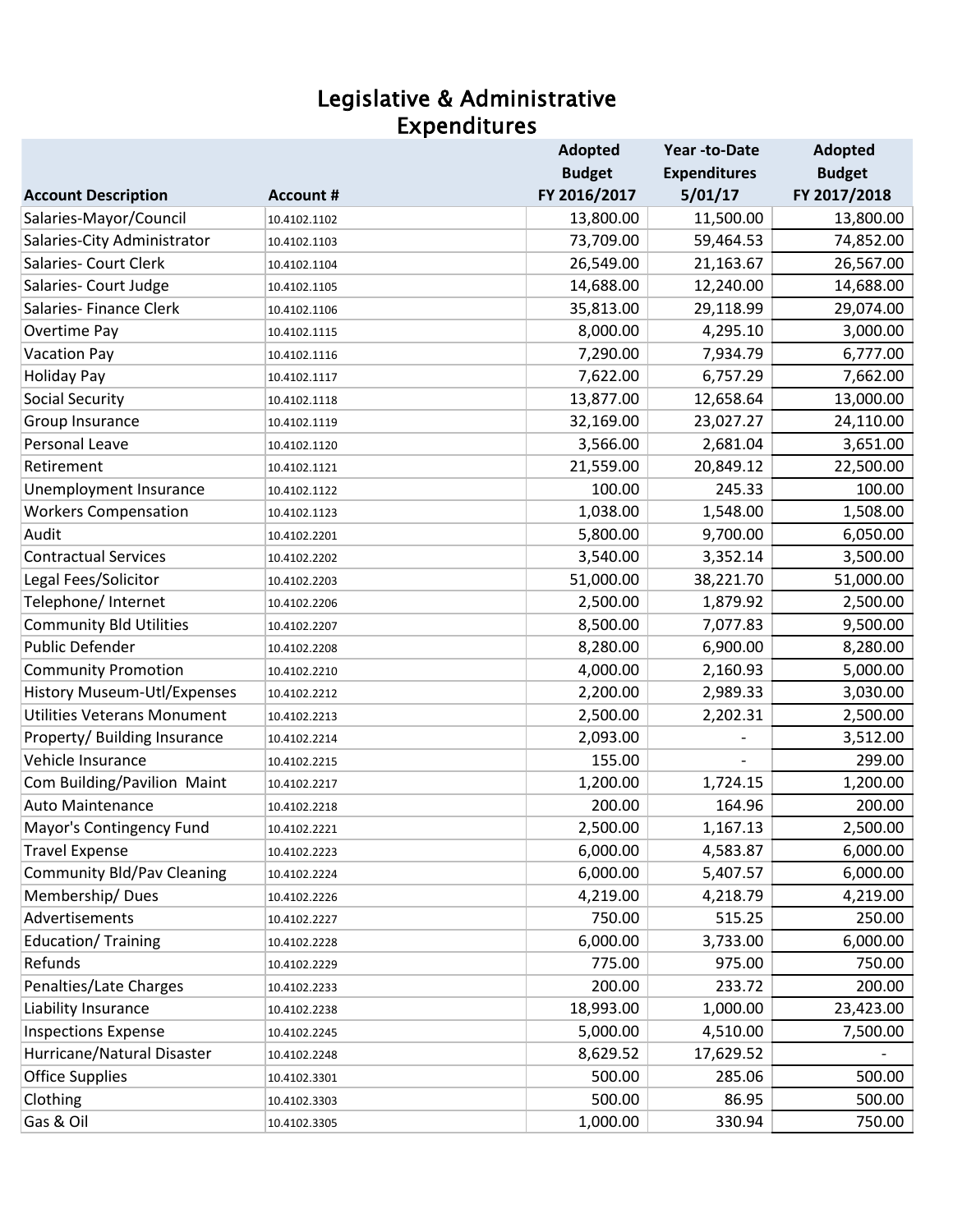### Legislative & Administrative Expenditures

|                                    |                  | <b>Adopted</b> | Year-to-Date        | <b>Adopted</b> |
|------------------------------------|------------------|----------------|---------------------|----------------|
|                                    |                  | <b>Budget</b>  | <b>Expenditures</b> | <b>Budget</b>  |
| <b>Account Description</b>         | <b>Account #</b> | FY 2016/2017   | 5/01/17             | FY 2017/2018   |
| Salaries-Mayor/Council             | 10.4102.1102     | 13,800.00      | 11,500.00           | 13,800.00      |
| Salaries-City Administrator        | 10.4102.1103     | 73,709.00      | 59,464.53           | 74,852.00      |
| Salaries- Court Clerk              | 10.4102.1104     | 26,549.00      | 21,163.67           | 26,567.00      |
| Salaries- Court Judge              | 10.4102.1105     | 14,688.00      | 12,240.00           | 14,688.00      |
| Salaries- Finance Clerk            | 10.4102.1106     | 35,813.00      | 29,118.99           | 29,074.00      |
| Overtime Pay                       | 10.4102.1115     | 8,000.00       | 4,295.10            | 3,000.00       |
| <b>Vacation Pay</b>                | 10.4102.1116     | 7,290.00       | 7,934.79            | 6,777.00       |
| <b>Holiday Pay</b>                 | 10.4102.1117     | 7,622.00       | 6,757.29            | 7,662.00       |
| <b>Social Security</b>             | 10.4102.1118     | 13,877.00      | 12,658.64           | 13,000.00      |
| Group Insurance                    | 10.4102.1119     | 32,169.00      | 23,027.27           | 24,110.00      |
| Personal Leave                     | 10.4102.1120     | 3,566.00       | 2,681.04            | 3,651.00       |
| Retirement                         | 10.4102.1121     | 21,559.00      | 20,849.12           | 22,500.00      |
| Unemployment Insurance             | 10.4102.1122     | 100.00         | 245.33              | 100.00         |
| <b>Workers Compensation</b>        | 10.4102.1123     | 1,038.00       | 1,548.00            | 1,508.00       |
| Audit                              | 10.4102.2201     | 5,800.00       | 9,700.00            | 6,050.00       |
| <b>Contractual Services</b>        | 10.4102.2202     | 3,540.00       | 3,352.14            | 3,500.00       |
| Legal Fees/Solicitor               | 10.4102.2203     | 51,000.00      | 38,221.70           | 51,000.00      |
| Telephone/ Internet                | 10.4102.2206     | 2,500.00       | 1,879.92            | 2,500.00       |
| <b>Community Bld Utilities</b>     | 10.4102.2207     | 8,500.00       | 7,077.83            | 9,500.00       |
| Public Defender                    | 10.4102.2208     | 8,280.00       | 6,900.00            | 8,280.00       |
| <b>Community Promotion</b>         | 10.4102.2210     | 4,000.00       | 2,160.93            | 5,000.00       |
| History Museum-Utl/Expenses        | 10.4102.2212     | 2,200.00       | 2,989.33            | 3,030.00       |
| <b>Utilities Veterans Monument</b> | 10.4102.2213     | 2,500.00       | 2,202.31            | 2,500.00       |
| Property/ Building Insurance       | 10.4102.2214     | 2,093.00       |                     | 3,512.00       |
| Vehicle Insurance                  | 10.4102.2215     | 155.00         |                     | 299.00         |
| Com Building/Pavilion Maint        | 10.4102.2217     | 1,200.00       | 1,724.15            | 1,200.00       |
| <b>Auto Maintenance</b>            | 10.4102.2218     | 200.00         | 164.96              | 200.00         |
| Mayor's Contingency Fund           | 10.4102.2221     | 2,500.00       | 1,167.13            | 2,500.00       |
| <b>Travel Expense</b>              | 10.4102.2223     | 6,000.00       | 4,583.87            | 6,000.00       |
| <b>Community Bld/Pav Cleaning</b>  | 10.4102.2224     | 6,000.00       | 5,407.57            | 6,000.00       |
| Membership/Dues                    | 10.4102.2226     | 4,219.00       | 4,218.79            | 4,219.00       |
| Advertisements                     | 10.4102.2227     | 750.00         | 515.25              | 250.00         |
| Education/Training                 | 10.4102.2228     | 6,000.00       | 3,733.00            | 6,000.00       |
| Refunds                            | 10.4102.2229     | 775.00         | 975.00              | 750.00         |
| Penalties/Late Charges             | 10.4102.2233     | 200.00         | 233.72              | 200.00         |
| Liability Insurance                | 10.4102.2238     | 18,993.00      | 1,000.00            | 23,423.00      |
| <b>Inspections Expense</b>         | 10.4102.2245     | 5,000.00       | 4,510.00            | 7,500.00       |
| Hurricane/Natural Disaster         | 10.4102.2248     | 8,629.52       | 17,629.52           |                |
| <b>Office Supplies</b>             | 10.4102.3301     | 500.00         | 285.06              | 500.00         |
| Clothing                           | 10.4102.3303     | 500.00         | 86.95               | 500.00         |
| Gas & Oil                          | 10.4102.3305     | 1,000.00       | 330.94              | 750.00         |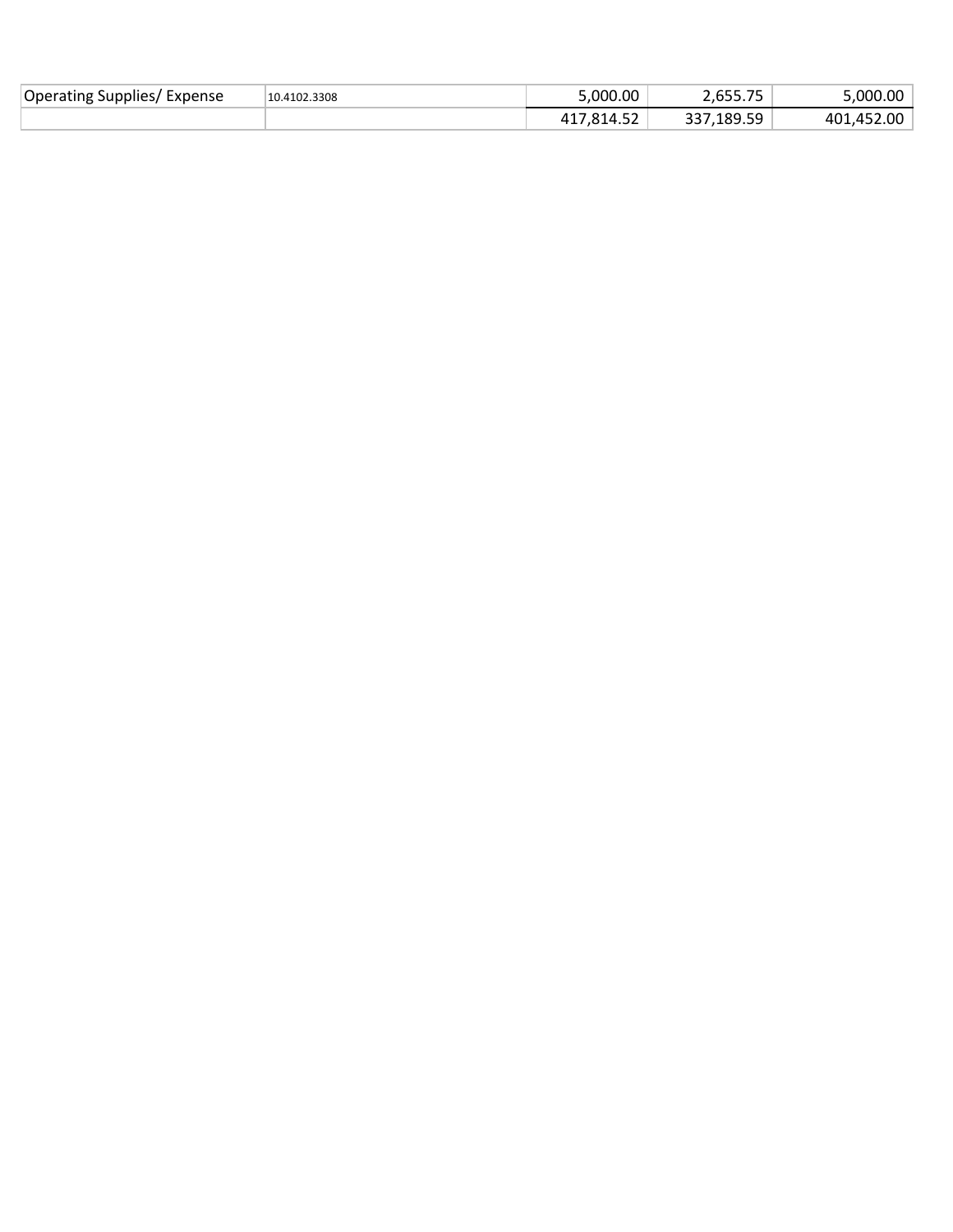| Operating Supplies/<br>Expense | 10.4102.3308 | 5,000.00       | --- --<br>. . U J J J | $0.00\,$ '<br>. nnr |
|--------------------------------|--------------|----------------|-----------------------|---------------------|
|                                |              | $ -$<br>314.5Z | 189.59,<br>ົ່າ        | ∶ 2.00∠.<br>401     |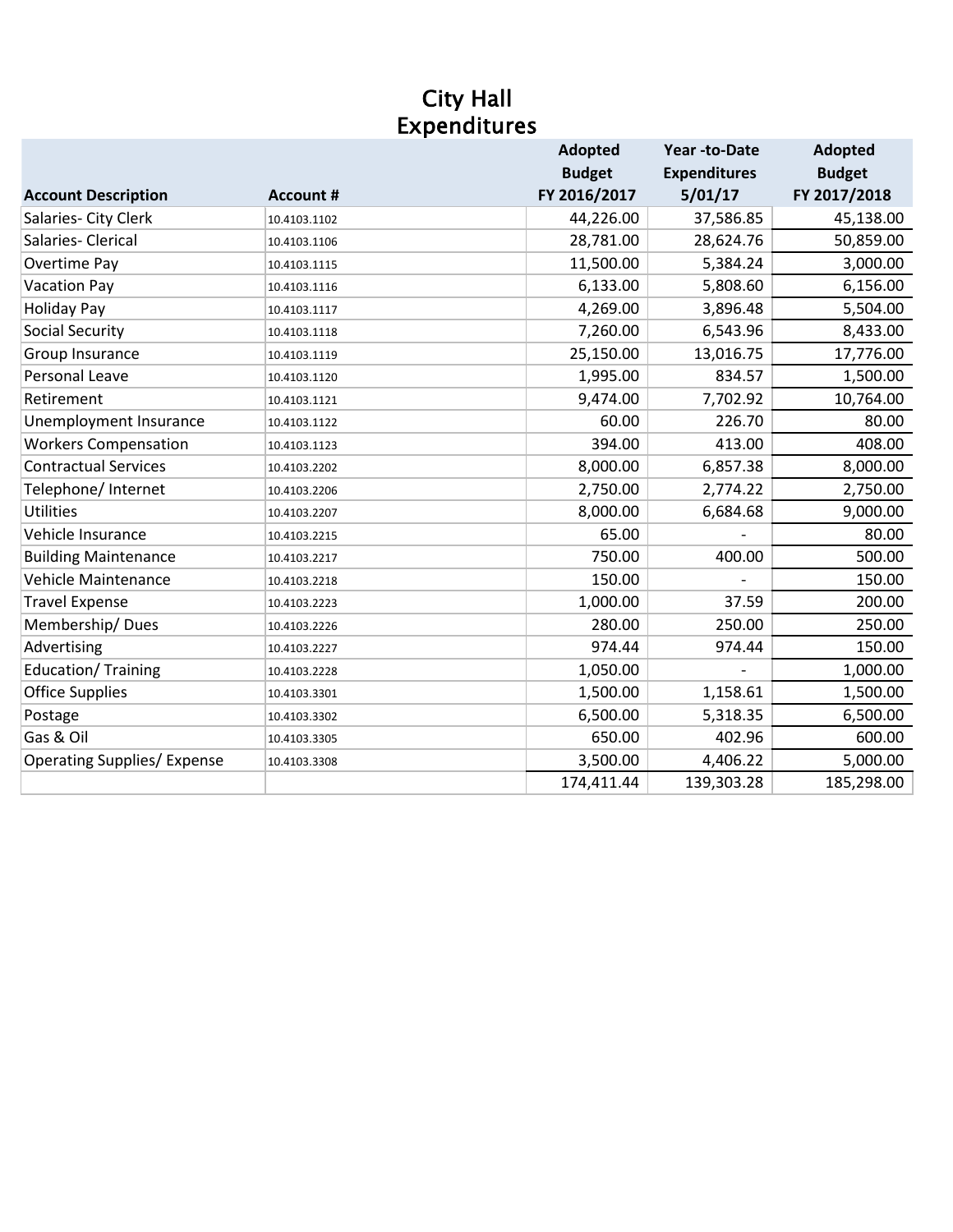## City Hall Expenditures

|                                    |                  | <b>Adopted</b> | <b>Year-to-Date</b> | <b>Adopted</b> |
|------------------------------------|------------------|----------------|---------------------|----------------|
|                                    |                  | <b>Budget</b>  | <b>Expenditures</b> | <b>Budget</b>  |
| <b>Account Description</b>         | <b>Account #</b> | FY 2016/2017   | 5/01/17             | FY 2017/2018   |
| Salaries- City Clerk               | 10.4103.1102     | 44,226.00      | 37,586.85           | 45,138.00      |
| Salaries- Clerical                 | 10.4103.1106     | 28,781.00      | 28,624.76           | 50,859.00      |
| Overtime Pay                       | 10.4103.1115     | 11,500.00      | 5,384.24            | 3,000.00       |
| <b>Vacation Pay</b>                | 10.4103.1116     | 6,133.00       | 5,808.60            | 6,156.00       |
| <b>Holiday Pay</b>                 | 10.4103.1117     | 4,269.00       | 3,896.48            | 5,504.00       |
| <b>Social Security</b>             | 10.4103.1118     | 7,260.00       | 6,543.96            | 8,433.00       |
| Group Insurance                    | 10.4103.1119     | 25,150.00      | 13,016.75           | 17,776.00      |
| <b>Personal Leave</b>              | 10.4103.1120     | 1,995.00       | 834.57              | 1,500.00       |
| Retirement                         | 10.4103.1121     | 9,474.00       | 7,702.92            | 10,764.00      |
| Unemployment Insurance             | 10.4103.1122     | 60.00          | 226.70              | 80.00          |
| <b>Workers Compensation</b>        | 10.4103.1123     | 394.00         | 413.00              | 408.00         |
| <b>Contractual Services</b>        | 10.4103.2202     | 8,000.00       | 6,857.38            | 8,000.00       |
| Telephone/ Internet                | 10.4103.2206     | 2,750.00       | 2,774.22            | 2,750.00       |
| Utilities                          | 10.4103.2207     | 8,000.00       | 6,684.68            | 9,000.00       |
| Vehicle Insurance                  | 10.4103.2215     | 65.00          |                     | 80.00          |
| <b>Building Maintenance</b>        | 10.4103.2217     | 750.00         | 400.00              | 500.00         |
| Vehicle Maintenance                | 10.4103.2218     | 150.00         |                     | 150.00         |
| <b>Travel Expense</b>              | 10.4103.2223     | 1,000.00       | 37.59               | 200.00         |
| Membership/Dues                    | 10.4103.2226     | 280.00         | 250.00              | 250.00         |
| Advertising                        | 10.4103.2227     | 974.44         | 974.44              | 150.00         |
| <b>Education/ Training</b>         | 10.4103.2228     | 1,050.00       |                     | 1,000.00       |
| <b>Office Supplies</b>             | 10.4103.3301     | 1,500.00       | 1,158.61            | 1,500.00       |
| Postage                            | 10.4103.3302     | 6,500.00       | 5,318.35            | 6,500.00       |
| Gas & Oil                          | 10.4103.3305     | 650.00         | 402.96              | 600.00         |
| <b>Operating Supplies/ Expense</b> | 10.4103.3308     | 3,500.00       | 4,406.22            | 5,000.00       |
|                                    |                  | 174,411.44     | 139,303.28          | 185,298.00     |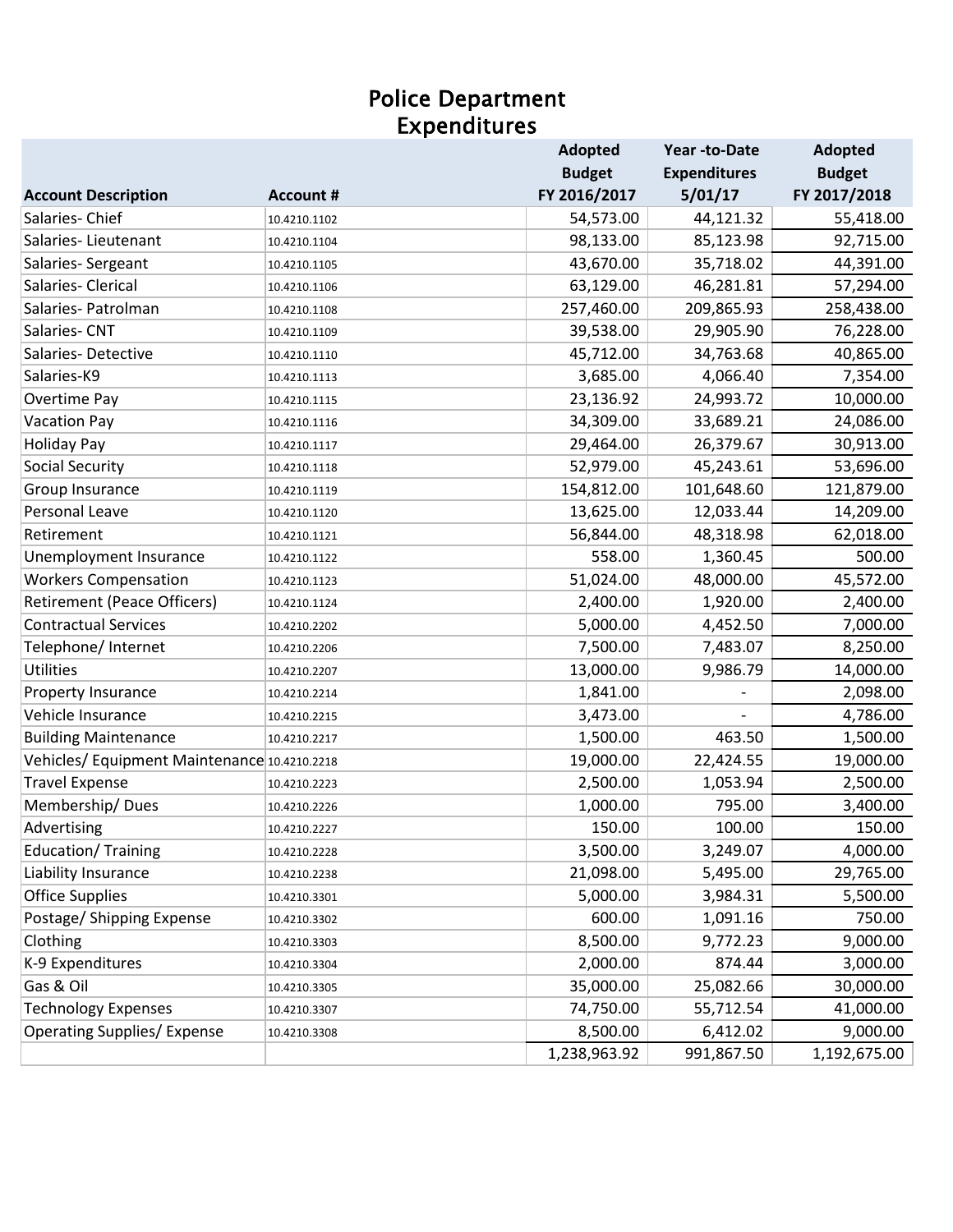#### Expenditures Police Department

|                                             |                  | <b>Adopted</b> | Year-to-Date        | <b>Adopted</b> |
|---------------------------------------------|------------------|----------------|---------------------|----------------|
|                                             |                  | <b>Budget</b>  | <b>Expenditures</b> | <b>Budget</b>  |
| <b>Account Description</b>                  | <b>Account #</b> | FY 2016/2017   | 5/01/17             | FY 2017/2018   |
| Salaries-Chief                              | 10.4210.1102     | 54,573.00      | 44,121.32           | 55,418.00      |
| Salaries-Lieutenant                         | 10.4210.1104     | 98,133.00      | 85,123.98           | 92,715.00      |
| Salaries-Sergeant                           | 10.4210.1105     | 43,670.00      | 35,718.02           | 44,391.00      |
| Salaries-Clerical                           | 10.4210.1106     | 63,129.00      | 46,281.81           | 57,294.00      |
| Salaries- Patrolman                         | 10.4210.1108     | 257,460.00     | 209,865.93          | 258,438.00     |
| Salaries-CNT                                | 10.4210.1109     | 39,538.00      | 29,905.90           | 76,228.00      |
| Salaries-Detective                          | 10.4210.1110     | 45,712.00      | 34,763.68           | 40,865.00      |
| Salaries-K9                                 | 10.4210.1113     | 3,685.00       | 4,066.40            | 7,354.00       |
| Overtime Pay                                | 10.4210.1115     | 23,136.92      | 24,993.72           | 10,000.00      |
| <b>Vacation Pay</b>                         | 10.4210.1116     | 34,309.00      | 33,689.21           | 24,086.00      |
| <b>Holiday Pay</b>                          | 10.4210.1117     | 29,464.00      | 26,379.67           | 30,913.00      |
| <b>Social Security</b>                      | 10.4210.1118     | 52,979.00      | 45,243.61           | 53,696.00      |
| Group Insurance                             | 10.4210.1119     | 154,812.00     | 101,648.60          | 121,879.00     |
| Personal Leave                              | 10.4210.1120     | 13,625.00      | 12,033.44           | 14,209.00      |
| Retirement                                  | 10.4210.1121     | 56,844.00      | 48,318.98           | 62,018.00      |
| Unemployment Insurance                      | 10.4210.1122     | 558.00         | 1,360.45            | 500.00         |
| <b>Workers Compensation</b>                 | 10.4210.1123     | 51,024.00      | 48,000.00           | 45,572.00      |
| <b>Retirement (Peace Officers)</b>          | 10.4210.1124     | 2,400.00       | 1,920.00            | 2,400.00       |
| <b>Contractual Services</b>                 | 10.4210.2202     | 5,000.00       | 4,452.50            | 7,000.00       |
| Telephone/ Internet                         | 10.4210.2206     | 7,500.00       | 7,483.07            | 8,250.00       |
| <b>Utilities</b>                            | 10.4210.2207     | 13,000.00      | 9,986.79            | 14,000.00      |
| Property Insurance                          | 10.4210.2214     | 1,841.00       |                     | 2,098.00       |
| Vehicle Insurance                           | 10.4210.2215     | 3,473.00       |                     | 4,786.00       |
| <b>Building Maintenance</b>                 | 10.4210.2217     | 1,500.00       | 463.50              | 1,500.00       |
| Vehicles/Equipment Maintenance 10.4210.2218 |                  | 19,000.00      | 22,424.55           | 19,000.00      |
| <b>Travel Expense</b>                       | 10.4210.2223     | 2,500.00       | 1,053.94            | 2,500.00       |
| Membership/Dues                             | 10.4210.2226     | 1,000.00       | 795.00              | 3,400.00       |
| Advertising                                 | 10.4210.2227     | 150.00         | 100.00              | 150.00         |
| <b>Education/ Training</b>                  | 10.4210.2228     | 3,500.00       | 3,249.07            | 4,000.00       |
| Liability Insurance                         | 10.4210.2238     | 21,098.00      | 5,495.00            | 29,765.00      |
| <b>Office Supplies</b>                      | 10.4210.3301     | 5,000.00       | 3,984.31            | 5,500.00       |
| Postage/ Shipping Expense                   | 10.4210.3302     | 600.00         | 1,091.16            | 750.00         |
| Clothing                                    | 10.4210.3303     | 8,500.00       | 9,772.23            | 9,000.00       |
| K-9 Expenditures                            | 10.4210.3304     | 2,000.00       | 874.44              | 3,000.00       |
| Gas & Oil                                   | 10.4210.3305     | 35,000.00      | 25,082.66           | 30,000.00      |
| <b>Technology Expenses</b>                  | 10.4210.3307     | 74,750.00      | 55,712.54           | 41,000.00      |
| <b>Operating Supplies/ Expense</b>          | 10.4210.3308     | 8,500.00       | 6,412.02            | 9,000.00       |
|                                             |                  | 1,238,963.92   | 991,867.50          | 1,192,675.00   |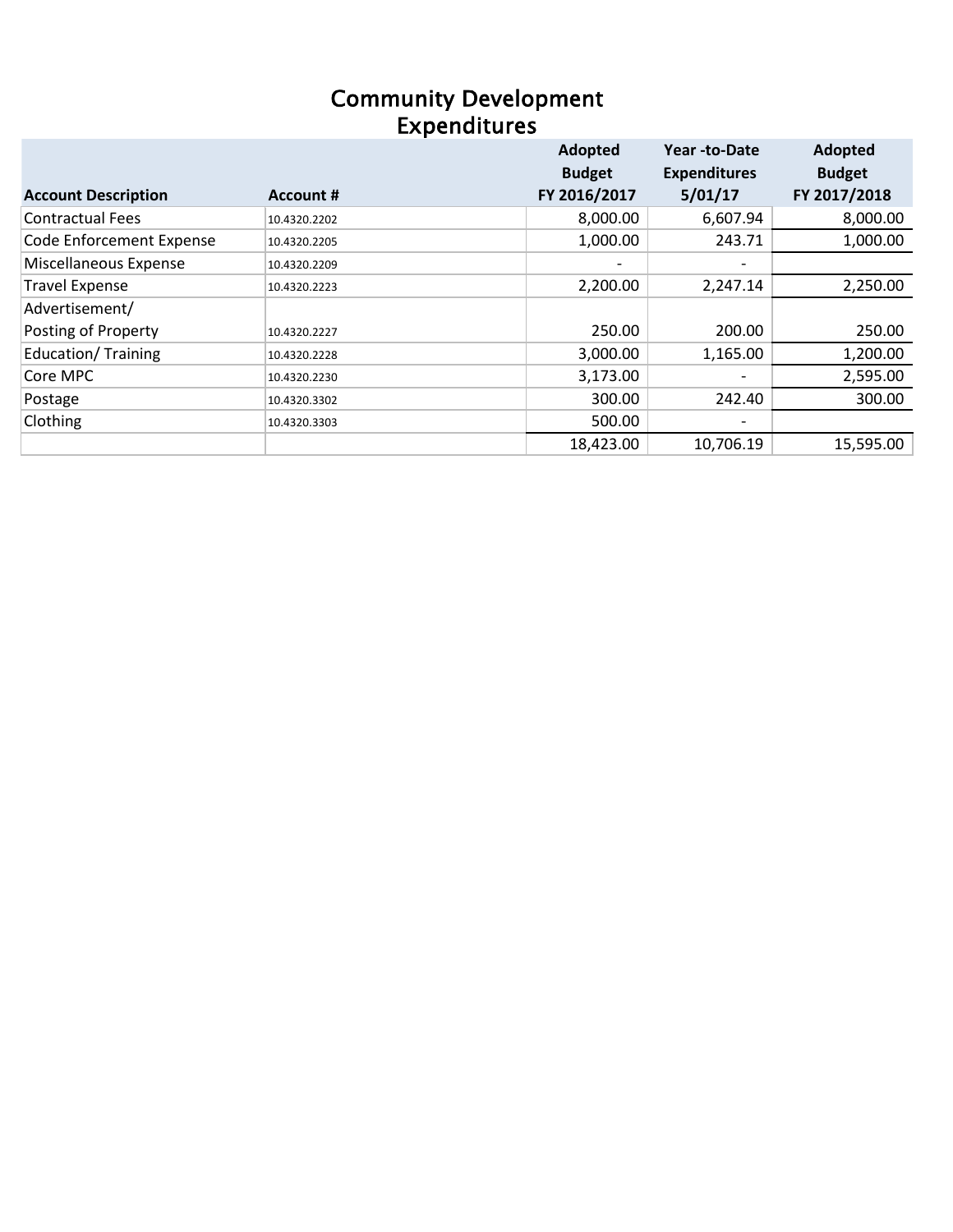### Community Development Expenditures

|                                 |                  | Adopted                  | Year -to-Date                | Adopted       |
|---------------------------------|------------------|--------------------------|------------------------------|---------------|
|                                 |                  | <b>Budget</b>            | <b>Expenditures</b>          | <b>Budget</b> |
| <b>Account Description</b>      | <b>Account #</b> | FY 2016/2017             | 5/01/17                      | FY 2017/2018  |
| <b>Contractual Fees</b>         | 10.4320.2202     | 8,000.00                 | 6,607.94                     | 8,000.00      |
| <b>Code Enforcement Expense</b> | 10.4320.2205     | 1,000.00                 | 243.71                       | 1,000.00      |
| Miscellaneous Expense           | 10.4320.2209     | $\overline{\phantom{0}}$ | $\qquad \qquad \blacksquare$ |               |
| <b>Travel Expense</b>           | 10.4320.2223     | 2,200.00                 | 2,247.14                     | 2,250.00      |
| Advertisement/                  |                  |                          |                              |               |
| Posting of Property             | 10.4320.2227     | 250.00                   | 200.00                       | 250.00        |
| <b>Education/ Training</b>      | 10.4320.2228     | 3,000.00                 | 1,165.00                     | 1,200.00      |
| Core MPC                        | 10.4320.2230     | 3,173.00                 | $\qquad \qquad$              | 2,595.00      |
| Postage                         | 10.4320.3302     | 300.00                   | 242.40                       | 300.00        |
| Clothing                        | 10.4320.3303     | 500.00                   | $\overline{\phantom{0}}$     |               |
|                                 |                  | 18,423.00                | 10,706.19                    | 15,595.00     |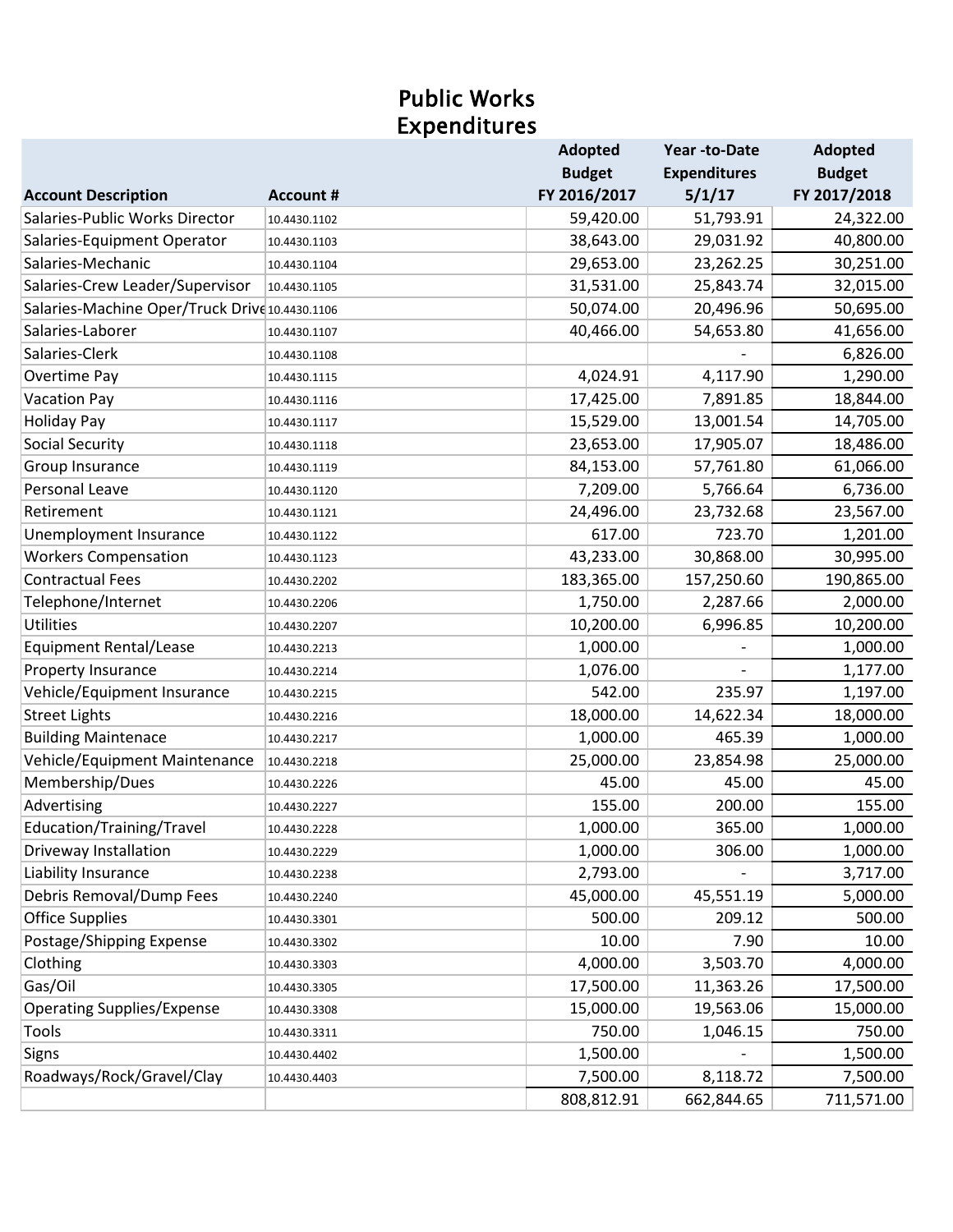# Public Works Expenditures

|                                                |                  | <b>Adopted</b> | Year -to-Date       | <b>Adopted</b> |
|------------------------------------------------|------------------|----------------|---------------------|----------------|
|                                                |                  | <b>Budget</b>  | <b>Expenditures</b> | <b>Budget</b>  |
| <b>Account Description</b>                     | <b>Account #</b> | FY 2016/2017   | 5/1/17              | FY 2017/2018   |
| Salaries-Public Works Director                 | 10.4430.1102     | 59,420.00      | 51,793.91           | 24,322.00      |
| Salaries-Equipment Operator                    | 10.4430.1103     | 38,643.00      | 29,031.92           | 40,800.00      |
| Salaries-Mechanic                              | 10.4430.1104     | 29,653.00      | 23,262.25           | 30,251.00      |
| Salaries-Crew Leader/Supervisor                | 10.4430.1105     | 31,531.00      | 25,843.74           | 32,015.00      |
| Salaries-Machine Oper/Truck Drive 10.4430.1106 |                  | 50,074.00      | 20,496.96           | 50,695.00      |
| Salaries-Laborer                               | 10.4430.1107     | 40,466.00      | 54,653.80           | 41,656.00      |
| Salaries-Clerk                                 | 10.4430.1108     |                |                     | 6,826.00       |
| Overtime Pay                                   | 10.4430.1115     | 4,024.91       | 4,117.90            | 1,290.00       |
| <b>Vacation Pay</b>                            | 10.4430.1116     | 17,425.00      | 7,891.85            | 18,844.00      |
| <b>Holiday Pay</b>                             | 10.4430.1117     | 15,529.00      | 13,001.54           | 14,705.00      |
| <b>Social Security</b>                         | 10.4430.1118     | 23,653.00      | 17,905.07           | 18,486.00      |
| Group Insurance                                | 10.4430.1119     | 84,153.00      | 57,761.80           | 61,066.00      |
| <b>Personal Leave</b>                          | 10.4430.1120     | 7,209.00       | 5,766.64            | 6,736.00       |
| Retirement                                     | 10.4430.1121     | 24,496.00      | 23,732.68           | 23,567.00      |
| Unemployment Insurance                         | 10.4430.1122     | 617.00         | 723.70              | 1,201.00       |
| <b>Workers Compensation</b>                    | 10.4430.1123     | 43,233.00      | 30,868.00           | 30,995.00      |
| <b>Contractual Fees</b>                        | 10.4430.2202     | 183,365.00     | 157,250.60          | 190,865.00     |
| Telephone/Internet                             | 10.4430.2206     | 1,750.00       | 2,287.66            | 2,000.00       |
| <b>Utilities</b>                               | 10.4430.2207     | 10,200.00      | 6,996.85            | 10,200.00      |
| <b>Equipment Rental/Lease</b>                  | 10.4430.2213     | 1,000.00       |                     | 1,000.00       |
| Property Insurance                             | 10.4430.2214     | 1,076.00       |                     | 1,177.00       |
| Vehicle/Equipment Insurance                    | 10.4430.2215     | 542.00         | 235.97              | 1,197.00       |
| <b>Street Lights</b>                           | 10.4430.2216     | 18,000.00      | 14,622.34           | 18,000.00      |
| <b>Building Maintenace</b>                     | 10.4430.2217     | 1,000.00       | 465.39              | 1,000.00       |
| Vehicle/Equipment Maintenance                  | 10.4430.2218     | 25,000.00      | 23,854.98           | 25,000.00      |
| Membership/Dues                                | 10.4430.2226     | 45.00          | 45.00               | 45.00          |
| Advertising                                    | 10.4430.2227     | 155.00         | 200.00              | 155.00         |
| Education/Training/Travel                      | 10.4430.2228     | 1,000.00       | 365.00              | 1,000.00       |
| Driveway Installation                          | 10.4430.2229     | 1,000.00       | 306.00              | 1,000.00       |
| Liability Insurance                            | 10.4430.2238     | 2,793.00       |                     | 3,717.00       |
| Debris Removal/Dump Fees                       | 10.4430.2240     | 45,000.00      | 45,551.19           | 5,000.00       |
| <b>Office Supplies</b>                         | 10.4430.3301     | 500.00         | 209.12              | 500.00         |
| Postage/Shipping Expense                       | 10.4430.3302     | 10.00          | 7.90                | 10.00          |
| Clothing                                       | 10.4430.3303     | 4,000.00       | 3,503.70            | 4,000.00       |
| Gas/Oil                                        | 10.4430.3305     | 17,500.00      | 11,363.26           | 17,500.00      |
| <b>Operating Supplies/Expense</b>              | 10.4430.3308     | 15,000.00      | 19,563.06           | 15,000.00      |
| Tools                                          | 10.4430.3311     | 750.00         | 1,046.15            | 750.00         |
| Signs                                          | 10.4430.4402     | 1,500.00       |                     | 1,500.00       |
| Roadways/Rock/Gravel/Clay                      | 10.4430.4403     | 7,500.00       | 8,118.72            | 7,500.00       |
|                                                |                  | 808,812.91     | 662,844.65          | 711,571.00     |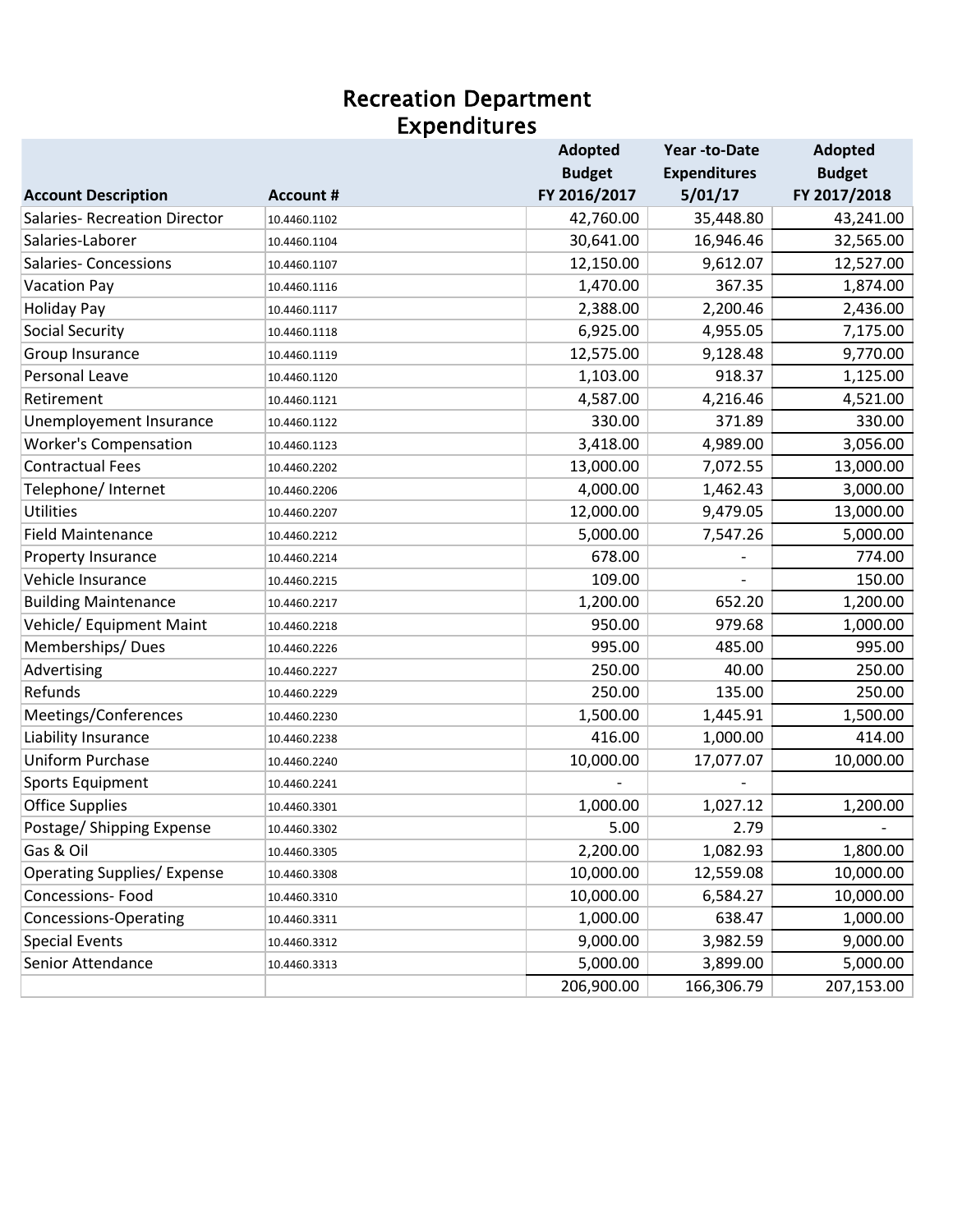#### Recreation Department Expenditures

|                                      |                  | <b>Adopted</b> | Year-to-Date        | <b>Adopted</b> |
|--------------------------------------|------------------|----------------|---------------------|----------------|
|                                      |                  | <b>Budget</b>  | <b>Expenditures</b> | <b>Budget</b>  |
| <b>Account Description</b>           | <b>Account #</b> | FY 2016/2017   | 5/01/17             | FY 2017/2018   |
| <b>Salaries- Recreation Director</b> | 10.4460.1102     | 42,760.00      | 35,448.80           | 43,241.00      |
| Salaries-Laborer                     | 10.4460.1104     | 30,641.00      | 16,946.46           | 32,565.00      |
| <b>Salaries- Concessions</b>         | 10.4460.1107     | 12,150.00      | 9,612.07            | 12,527.00      |
| <b>Vacation Pay</b>                  | 10.4460.1116     | 1,470.00       | 367.35              | 1,874.00       |
| <b>Holiday Pay</b>                   | 10.4460.1117     | 2,388.00       | 2,200.46            | 2,436.00       |
| <b>Social Security</b>               | 10.4460.1118     | 6,925.00       | 4,955.05            | 7,175.00       |
| Group Insurance                      | 10.4460.1119     | 12,575.00      | 9,128.48            | 9,770.00       |
| Personal Leave                       | 10.4460.1120     | 1,103.00       | 918.37              | 1,125.00       |
| Retirement                           | 10.4460.1121     | 4,587.00       | 4,216.46            | 4,521.00       |
| Unemployement Insurance              | 10.4460.1122     | 330.00         | 371.89              | 330.00         |
| <b>Worker's Compensation</b>         | 10.4460.1123     | 3,418.00       | 4,989.00            | 3,056.00       |
| <b>Contractual Fees</b>              | 10.4460.2202     | 13,000.00      | 7,072.55            | 13,000.00      |
| Telephone/ Internet                  | 10.4460.2206     | 4,000.00       | 1,462.43            | 3,000.00       |
| Utilities                            | 10.4460.2207     | 12,000.00      | 9,479.05            | 13,000.00      |
| <b>Field Maintenance</b>             | 10.4460.2212     | 5,000.00       | 7,547.26            | 5,000.00       |
| Property Insurance                   | 10.4460.2214     | 678.00         |                     | 774.00         |
| Vehicle Insurance                    | 10.4460.2215     | 109.00         |                     | 150.00         |
| <b>Building Maintenance</b>          | 10.4460.2217     | 1,200.00       | 652.20              | 1,200.00       |
| Vehicle/ Equipment Maint             | 10.4460.2218     | 950.00         | 979.68              | 1,000.00       |
| Memberships/Dues                     | 10.4460.2226     | 995.00         | 485.00              | 995.00         |
| Advertising                          | 10.4460.2227     | 250.00         | 40.00               | 250.00         |
| Refunds                              | 10.4460.2229     | 250.00         | 135.00              | 250.00         |
| Meetings/Conferences                 | 10.4460.2230     | 1,500.00       | 1,445.91            | 1,500.00       |
| Liability Insurance                  | 10.4460.2238     | 416.00         | 1,000.00            | 414.00         |
| <b>Uniform Purchase</b>              | 10.4460.2240     | 10,000.00      | 17,077.07           | 10,000.00      |
| <b>Sports Equipment</b>              | 10.4460.2241     |                |                     |                |
| <b>Office Supplies</b>               | 10.4460.3301     | 1,000.00       | 1,027.12            | 1,200.00       |
| Postage/ Shipping Expense            | 10.4460.3302     | 5.00           | 2.79                |                |
| Gas & Oil                            | 10.4460.3305     | 2,200.00       | 1,082.93            | 1,800.00       |
| <b>Operating Supplies/ Expense</b>   | 10.4460.3308     | 10,000.00      | 12,559.08           | 10,000.00      |
| Concessions-Food                     | 10.4460.3310     | 10,000.00      | 6,584.27            | 10,000.00      |
| <b>Concessions-Operating</b>         | 10.4460.3311     | 1,000.00       | 638.47              | 1,000.00       |
| <b>Special Events</b>                | 10.4460.3312     | 9,000.00       | 3,982.59            | 9,000.00       |
| Senior Attendance                    | 10.4460.3313     | 5,000.00       | 3,899.00            | 5,000.00       |
|                                      |                  | 206,900.00     | 166,306.79          | 207,153.00     |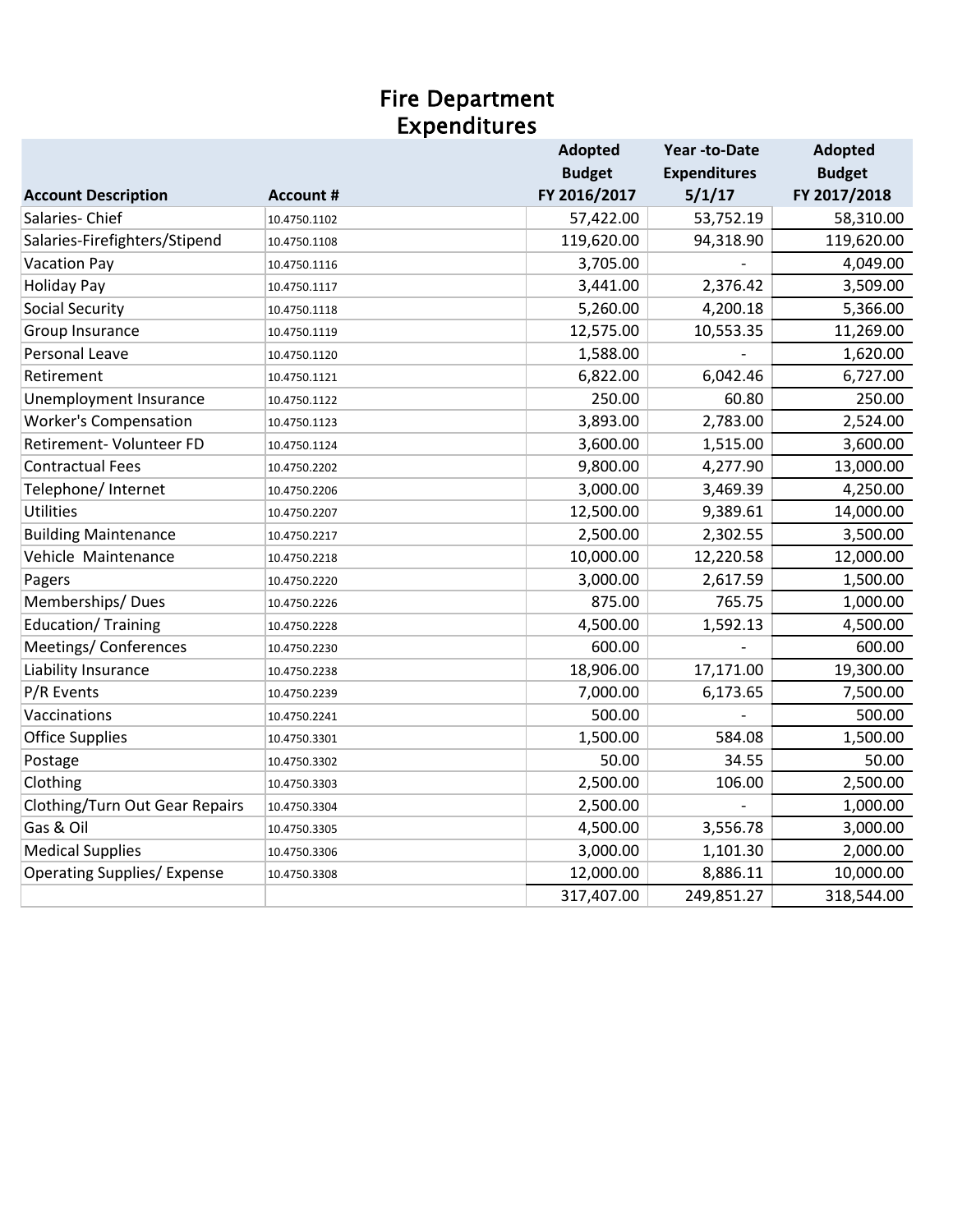#### Fire Department Expenditures

|                                    |                  | Adopted       | Year-to-Date        | <b>Adopted</b> |
|------------------------------------|------------------|---------------|---------------------|----------------|
|                                    |                  | <b>Budget</b> | <b>Expenditures</b> | <b>Budget</b>  |
| <b>Account Description</b>         | <b>Account #</b> | FY 2016/2017  | 5/1/17              | FY 2017/2018   |
| Salaries-Chief                     | 10.4750.1102     | 57,422.00     | 53,752.19           | 58,310.00      |
| Salaries-Firefighters/Stipend      | 10.4750.1108     | 119,620.00    | 94,318.90           | 119,620.00     |
| <b>Vacation Pay</b>                | 10.4750.1116     | 3,705.00      |                     | 4,049.00       |
| <b>Holiday Pay</b>                 | 10.4750.1117     | 3,441.00      | 2,376.42            | 3,509.00       |
| <b>Social Security</b>             | 10.4750.1118     | 5,260.00      | 4,200.18            | 5,366.00       |
| Group Insurance                    | 10.4750.1119     | 12,575.00     | 10,553.35           | 11,269.00      |
| Personal Leave                     | 10.4750.1120     | 1,588.00      |                     | 1,620.00       |
| Retirement                         | 10.4750.1121     | 6,822.00      | 6,042.46            | 6,727.00       |
| Unemployment Insurance             | 10.4750.1122     | 250.00        | 60.80               | 250.00         |
| <b>Worker's Compensation</b>       | 10.4750.1123     | 3,893.00      | 2,783.00            | 2,524.00       |
| Retirement- Volunteer FD           | 10.4750.1124     | 3,600.00      | 1,515.00            | 3,600.00       |
| <b>Contractual Fees</b>            | 10.4750.2202     | 9,800.00      | 4,277.90            | 13,000.00      |
| Telephone/ Internet                | 10.4750.2206     | 3,000.00      | 3,469.39            | 4,250.00       |
| <b>Utilities</b>                   | 10.4750.2207     | 12,500.00     | 9,389.61            | 14,000.00      |
| <b>Building Maintenance</b>        | 10.4750.2217     | 2,500.00      | 2,302.55            | 3,500.00       |
| Vehicle Maintenance                | 10.4750.2218     | 10,000.00     | 12,220.58           | 12,000.00      |
| Pagers                             | 10.4750.2220     | 3,000.00      | 2,617.59            | 1,500.00       |
| Memberships/Dues                   | 10.4750.2226     | 875.00        | 765.75              | 1,000.00       |
| <b>Education/ Training</b>         | 10.4750.2228     | 4,500.00      | 1,592.13            | 4,500.00       |
| Meetings/ Conferences              | 10.4750.2230     | 600.00        |                     | 600.00         |
| Liability Insurance                | 10.4750.2238     | 18,906.00     | 17,171.00           | 19,300.00      |
| P/R Events                         | 10.4750.2239     | 7,000.00      | 6,173.65            | 7,500.00       |
| Vaccinations                       | 10.4750.2241     | 500.00        |                     | 500.00         |
| <b>Office Supplies</b>             | 10.4750.3301     | 1,500.00      | 584.08              | 1,500.00       |
| Postage                            | 10.4750.3302     | 50.00         | 34.55               | 50.00          |
| Clothing                           | 10.4750.3303     | 2,500.00      | 106.00              | 2,500.00       |
| Clothing/Turn Out Gear Repairs     | 10.4750.3304     | 2,500.00      |                     | 1,000.00       |
| Gas & Oil                          | 10.4750.3305     | 4,500.00      | 3,556.78            | 3,000.00       |
| <b>Medical Supplies</b>            | 10.4750.3306     | 3,000.00      | 1,101.30            | 2,000.00       |
| <b>Operating Supplies/ Expense</b> | 10.4750.3308     | 12,000.00     | 8,886.11            | 10,000.00      |
|                                    |                  | 317,407.00    | 249,851.27          | 318,544.00     |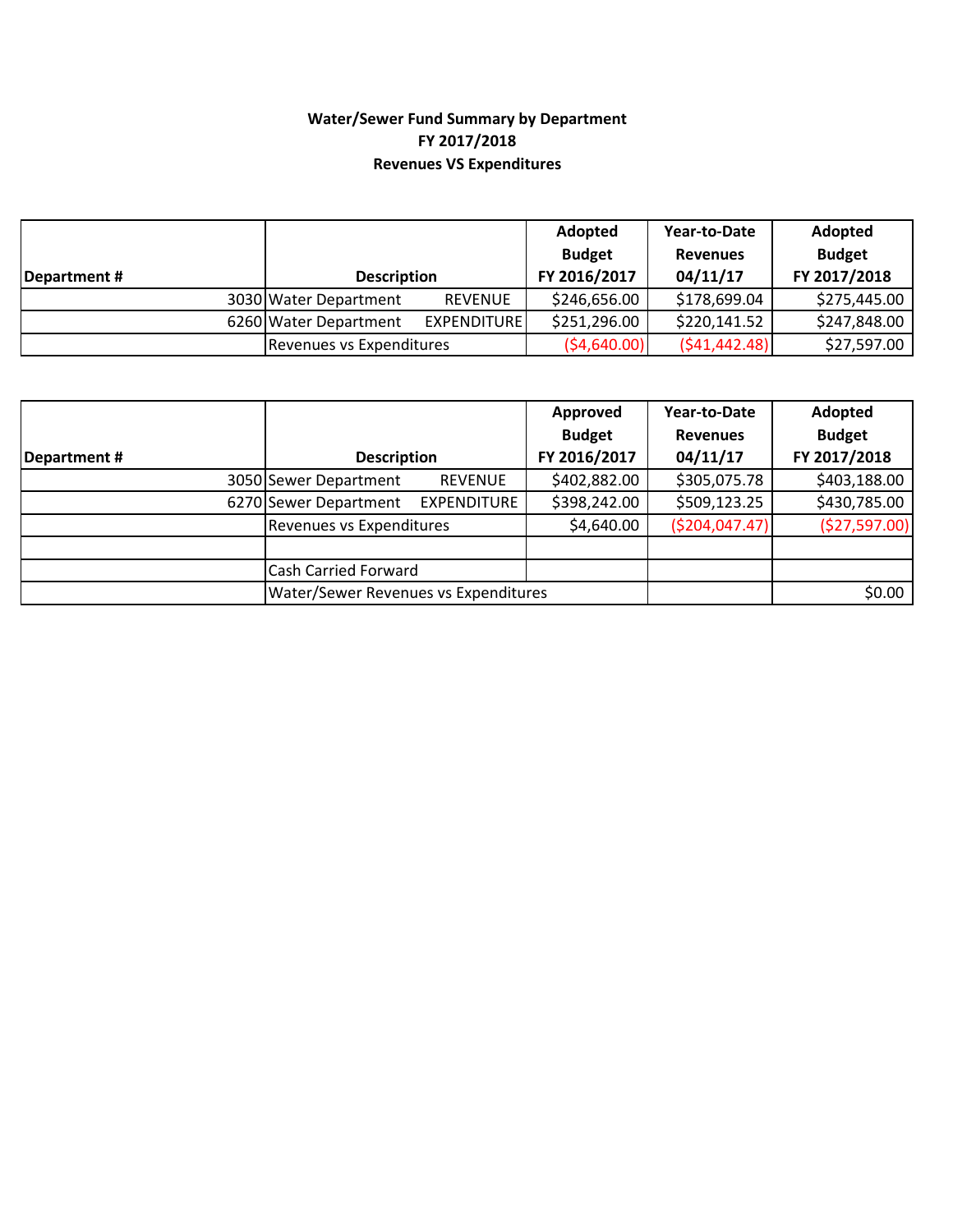#### **Water/Sewer Fund Summary by Department FY 2017/2018 Revenues VS Expenditures**

|              |                          |                    | Adopted<br><b>Budget</b> | Year-to-Date<br><b>Revenues</b> | Adopted<br><b>Budget</b> |
|--------------|--------------------------|--------------------|--------------------------|---------------------------------|--------------------------|
| Department # | <b>Description</b>       |                    | FY 2016/2017             | 04/11/17                        | FY 2017/2018             |
|              | 3030 Water Department    | <b>REVENUE</b>     | \$246,656.00             | \$178,699.04                    | \$275,445.00             |
|              | 6260 Water Department    | <b>EXPENDITURE</b> | \$251,296.00             | \$220,141.52                    | \$247,848.00             |
|              | Revenues vs Expenditures |                    | (54,640.00)              | (541, 442.48)                   | \$27,597.00              |

|             |                                             |                | Approved      | Year-to-Date     | Adopted       |
|-------------|---------------------------------------------|----------------|---------------|------------------|---------------|
|             |                                             |                | <b>Budget</b> | <b>Revenues</b>  | <b>Budget</b> |
| Department# | <b>Description</b>                          |                | FY 2016/2017  | 04/11/17         | FY 2017/2018  |
|             | 3050 Sewer Department                       | <b>REVENUE</b> | \$402,882.00  | \$305,075.78     | \$403,188.00  |
|             | 6270 Sewer Department                       | EXPENDITURE    | \$398,242.00  | \$509,123.25     | \$430,785.00  |
|             | Revenues vs Expenditures                    |                | \$4,640.00    | ( \$204, 047.47) | (\$27,597.00) |
|             |                                             |                |               |                  |               |
|             | <b>Cash Carried Forward</b>                 |                |               |                  |               |
|             | <b>Water/Sewer Revenues vs Expenditures</b> |                |               |                  | \$0.00        |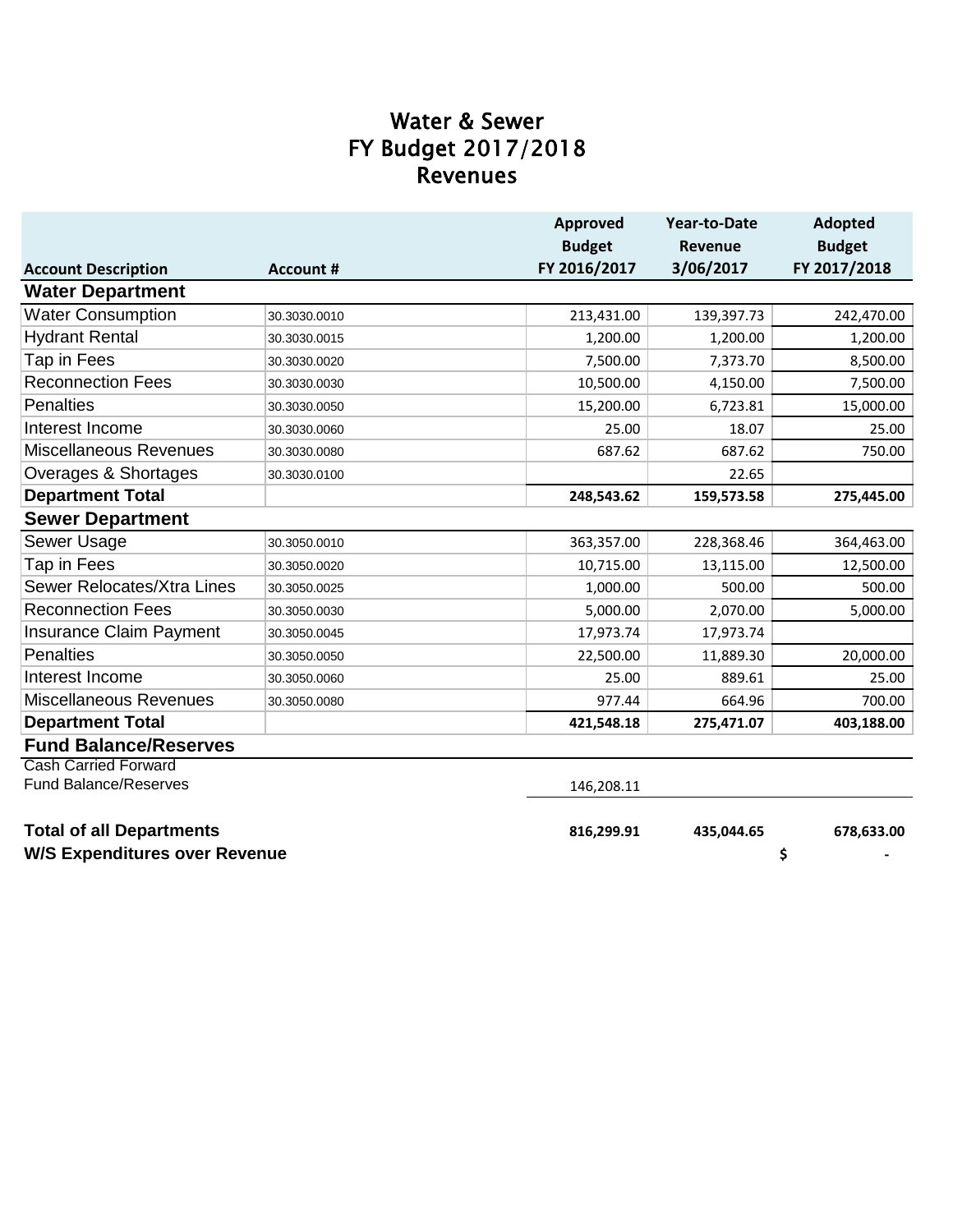## **Revenues** FY Budget 2017/2018 Water & Sewer

|                                      |                  | Approved      | Year-to-Date   | <b>Adopted</b> |
|--------------------------------------|------------------|---------------|----------------|----------------|
|                                      |                  | <b>Budget</b> | <b>Revenue</b> | <b>Budget</b>  |
| <b>Account Description</b>           | <b>Account #</b> | FY 2016/2017  | 3/06/2017      | FY 2017/2018   |
| <b>Water Department</b>              |                  |               |                |                |
| <b>Water Consumption</b>             | 30.3030.0010     | 213,431.00    | 139,397.73     | 242,470.00     |
| <b>Hydrant Rental</b>                | 30.3030.0015     | 1,200.00      | 1,200.00       | 1,200.00       |
| Tap in Fees                          | 30.3030.0020     | 7,500.00      | 7,373.70       | 8,500.00       |
| <b>Reconnection Fees</b>             | 30.3030.0030     | 10,500.00     | 4,150.00       | 7,500.00       |
| <b>Penalties</b>                     | 30.3030.0050     | 15,200.00     | 6,723.81       | 15,000.00      |
| Interest Income                      | 30.3030.0060     | 25.00         | 18.07          | 25.00          |
| Miscellaneous Revenues               | 30.3030.0080     | 687.62        | 687.62         | 750.00         |
| Overages & Shortages                 | 30.3030.0100     |               | 22.65          |                |
| <b>Department Total</b>              |                  | 248,543.62    | 159,573.58     | 275,445.00     |
| <b>Sewer Department</b>              |                  |               |                |                |
| Sewer Usage                          | 30.3050.0010     | 363,357.00    | 228,368.46     | 364,463.00     |
| Tap in Fees                          | 30.3050.0020     | 10,715.00     | 13,115.00      | 12,500.00      |
| Sewer Relocates/Xtra Lines           | 30.3050.0025     | 1,000.00      | 500.00         | 500.00         |
| <b>Reconnection Fees</b>             | 30.3050.0030     | 5,000.00      | 2,070.00       | 5,000.00       |
| Insurance Claim Payment              | 30.3050.0045     | 17,973.74     | 17,973.74      |                |
| <b>Penalties</b>                     | 30.3050.0050     | 22,500.00     | 11,889.30      | 20,000.00      |
| Interest Income                      | 30.3050.0060     | 25.00         | 889.61         | 25.00          |
| <b>Miscellaneous Revenues</b>        | 30.3050.0080     | 977.44        | 664.96         | 700.00         |
| <b>Department Total</b>              |                  | 421,548.18    | 275,471.07     | 403,188.00     |
| <b>Fund Balance/Reserves</b>         |                  |               |                |                |
| <b>Cash Carried Forward</b>          |                  |               |                |                |
| <b>Fund Balance/Reserves</b>         |                  | 146,208.11    |                |                |
| <b>Total of all Departments</b>      |                  | 816,299.91    | 435,044.65     | 678,633.00     |
| <b>W/S Expenditures over Revenue</b> |                  |               |                | \$             |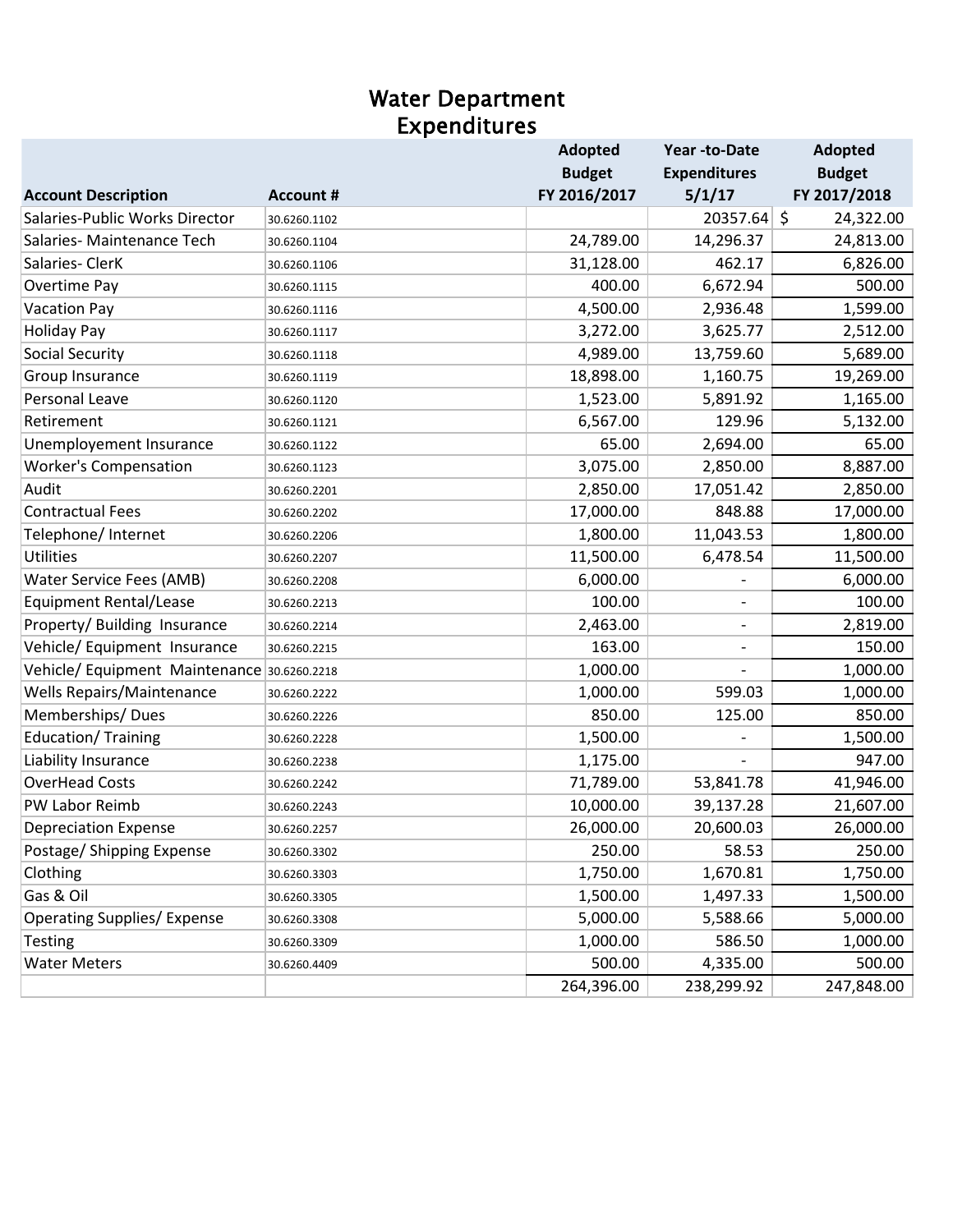#### Water Department Expenditures

|                                            |                  | <b>Adopted</b> | Year -to-Date       | <b>Adopted</b> |
|--------------------------------------------|------------------|----------------|---------------------|----------------|
|                                            |                  | <b>Budget</b>  | <b>Expenditures</b> | <b>Budget</b>  |
| <b>Account Description</b>                 | <b>Account #</b> | FY 2016/2017   | 5/1/17              | FY 2017/2018   |
| Salaries-Public Works Director             | 30.6260.1102     |                | 20357.64 \$         | 24,322.00      |
| Salaries-Maintenance Tech                  | 30.6260.1104     | 24,789.00      | 14,296.37           | 24,813.00      |
| Salaries-ClerK                             | 30.6260.1106     | 31,128.00      | 462.17              | 6,826.00       |
| Overtime Pay                               | 30.6260.1115     | 400.00         | 6,672.94            | 500.00         |
| <b>Vacation Pay</b>                        | 30.6260.1116     | 4,500.00       | 2,936.48            | 1,599.00       |
| <b>Holiday Pay</b>                         | 30.6260.1117     | 3,272.00       | 3,625.77            | 2,512.00       |
| <b>Social Security</b>                     | 30.6260.1118     | 4,989.00       | 13,759.60           | 5,689.00       |
| Group Insurance                            | 30.6260.1119     | 18,898.00      | 1,160.75            | 19,269.00      |
| <b>Personal Leave</b>                      | 30.6260.1120     | 1,523.00       | 5,891.92            | 1,165.00       |
| Retirement                                 | 30.6260.1121     | 6,567.00       | 129.96              | 5,132.00       |
| Unemployement Insurance                    | 30.6260.1122     | 65.00          | 2,694.00            | 65.00          |
| <b>Worker's Compensation</b>               | 30.6260.1123     | 3,075.00       | 2,850.00            | 8,887.00       |
| Audit                                      | 30.6260.2201     | 2,850.00       | 17,051.42           | 2,850.00       |
| <b>Contractual Fees</b>                    | 30.6260.2202     | 17,000.00      | 848.88              | 17,000.00      |
| Telephone/ Internet                        | 30.6260.2206     | 1,800.00       | 11,043.53           | 1,800.00       |
| <b>Utilities</b>                           | 30.6260.2207     | 11,500.00      | 6,478.54            | 11,500.00      |
| Water Service Fees (AMB)                   | 30.6260.2208     | 6,000.00       |                     | 6,000.00       |
| <b>Equipment Rental/Lease</b>              | 30.6260.2213     | 100.00         |                     | 100.00         |
| Property/ Building Insurance               | 30.6260.2214     | 2,463.00       | -                   | 2,819.00       |
| Vehicle/ Equipment Insurance               | 30.6260.2215     | 163.00         | $\qquad \qquad -$   | 150.00         |
| Vehicle/Equipment Maintenance 30.6260.2218 |                  | 1,000.00       |                     | 1,000.00       |
| <b>Wells Repairs/Maintenance</b>           | 30.6260.2222     | 1,000.00       | 599.03              | 1,000.00       |
| Memberships/Dues                           | 30.6260.2226     | 850.00         | 125.00              | 850.00         |
| Education/Training                         | 30.6260.2228     | 1,500.00       |                     | 1,500.00       |
| Liability Insurance                        | 30.6260.2238     | 1,175.00       |                     | 947.00         |
| <b>OverHead Costs</b>                      | 30.6260.2242     | 71,789.00      | 53,841.78           | 41,946.00      |
| PW Labor Reimb                             | 30.6260.2243     | 10,000.00      | 39,137.28           | 21,607.00      |
| <b>Depreciation Expense</b>                | 30.6260.2257     | 26,000.00      | 20,600.03           | 26,000.00      |
| Postage/ Shipping Expense                  | 30.6260.3302     | 250.00         | 58.53               | 250.00         |
| Clothing                                   | 30.6260.3303     | 1,750.00       | 1,670.81            | 1,750.00       |
| Gas & Oil                                  | 30.6260.3305     | 1,500.00       | 1,497.33            | 1,500.00       |
| <b>Operating Supplies/ Expense</b>         | 30.6260.3308     | 5,000.00       | 5,588.66            | 5,000.00       |
| <b>Testing</b>                             | 30.6260.3309     | 1,000.00       | 586.50              | 1,000.00       |
| <b>Water Meters</b>                        | 30.6260.4409     | 500.00         | 4,335.00            | 500.00         |
|                                            |                  | 264,396.00     | 238,299.92          | 247,848.00     |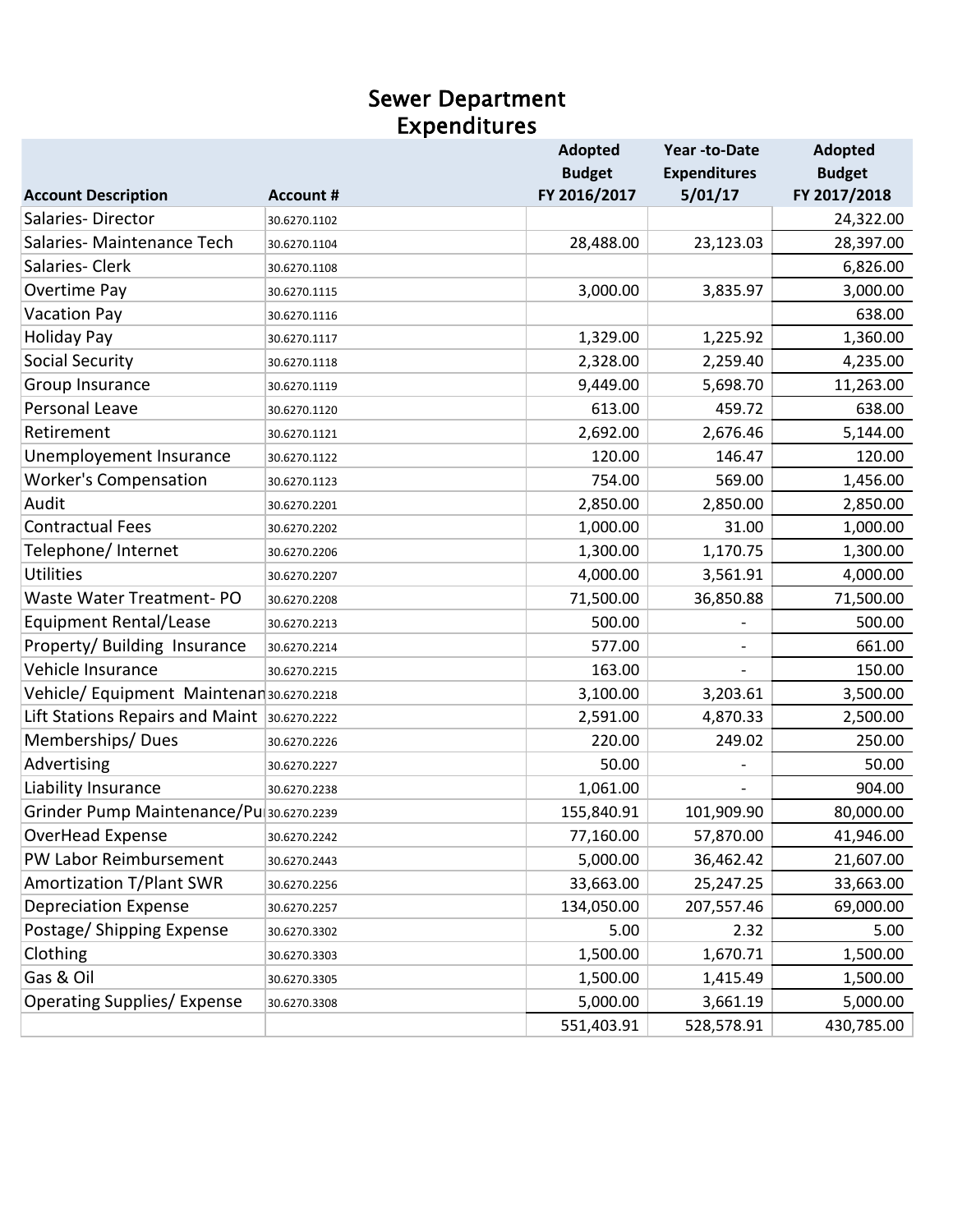#### Sewer Department Expenditures

|                                              |                  | <b>Adopted</b> | Year -to-Date       | <b>Adopted</b> |
|----------------------------------------------|------------------|----------------|---------------------|----------------|
|                                              |                  | <b>Budget</b>  | <b>Expenditures</b> | <b>Budget</b>  |
| <b>Account Description</b>                   | <b>Account #</b> | FY 2016/2017   | 5/01/17             | FY 2017/2018   |
| Salaries-Director                            | 30.6270.1102     |                |                     | 24,322.00      |
| Salaries-Maintenance Tech                    | 30.6270.1104     | 28,488.00      | 23,123.03           | 28,397.00      |
| Salaries-Clerk                               | 30.6270.1108     |                |                     | 6,826.00       |
| Overtime Pay                                 | 30.6270.1115     | 3,000.00       | 3,835.97            | 3,000.00       |
| <b>Vacation Pay</b>                          | 30.6270.1116     |                |                     | 638.00         |
| <b>Holiday Pay</b>                           | 30.6270.1117     | 1,329.00       | 1,225.92            | 1,360.00       |
| <b>Social Security</b>                       | 30.6270.1118     | 2,328.00       | 2,259.40            | 4,235.00       |
| Group Insurance                              | 30.6270.1119     | 9,449.00       | 5,698.70            | 11,263.00      |
| Personal Leave                               | 30.6270.1120     | 613.00         | 459.72              | 638.00         |
| Retirement                                   | 30.6270.1121     | 2,692.00       | 2,676.46            | 5,144.00       |
| Unemployement Insurance                      | 30.6270.1122     | 120.00         | 146.47              | 120.00         |
| <b>Worker's Compensation</b>                 | 30.6270.1123     | 754.00         | 569.00              | 1,456.00       |
| Audit                                        | 30.6270.2201     | 2,850.00       | 2,850.00            | 2,850.00       |
| <b>Contractual Fees</b>                      | 30.6270.2202     | 1,000.00       | 31.00               | 1,000.00       |
| Telephone/ Internet                          | 30.6270.2206     | 1,300.00       | 1,170.75            | 1,300.00       |
| <b>Utilities</b>                             | 30.6270.2207     | 4,000.00       | 3,561.91            | 4,000.00       |
| Waste Water Treatment-PO                     | 30.6270.2208     | 71,500.00      | 36,850.88           | 71,500.00      |
| <b>Equipment Rental/Lease</b>                | 30.6270.2213     | 500.00         |                     | 500.00         |
| Property/ Building Insurance                 | 30.6270.2214     | 577.00         |                     | 661.00         |
| Vehicle Insurance                            | 30.6270.2215     | 163.00         |                     | 150.00         |
| Vehicle/Equipment Maintenan 30.6270.2218     |                  | 3,100.00       | 3,203.61            | 3,500.00       |
| Lift Stations Repairs and Maint 30.6270.2222 |                  | 2,591.00       | 4,870.33            | 2,500.00       |
| Memberships/Dues                             | 30.6270.2226     | 220.00         | 249.02              | 250.00         |
| Advertising                                  | 30.6270.2227     | 50.00          |                     | 50.00          |
| Liability Insurance                          | 30.6270.2238     | 1,061.00       |                     | 904.00         |
| Grinder Pump Maintenance/Pu 30.6270.2239     |                  | 155,840.91     | 101,909.90          | 80,000.00      |
| OverHead Expense                             | 30.6270.2242     | 77,160.00      | 57,870.00           | 41,946.00      |
| PW Labor Reimbursement                       | 30.6270.2443     | 5,000.00       | 36,462.42           | 21,607.00      |
| Amortization T/Plant SWR                     | 30.6270.2256     | 33,663.00      | 25,247.25           | 33,663.00      |
| <b>Depreciation Expense</b>                  | 30.6270.2257     | 134,050.00     | 207,557.46          | 69,000.00      |
| Postage/ Shipping Expense                    | 30.6270.3302     | 5.00           | 2.32                | 5.00           |
| Clothing                                     | 30.6270.3303     | 1,500.00       | 1,670.71            | 1,500.00       |
| Gas & Oil                                    | 30.6270.3305     | 1,500.00       | 1,415.49            | 1,500.00       |
| <b>Operating Supplies/ Expense</b>           | 30.6270.3308     | 5,000.00       | 3,661.19            | 5,000.00       |
|                                              |                  | 551,403.91     | 528,578.91          | 430,785.00     |